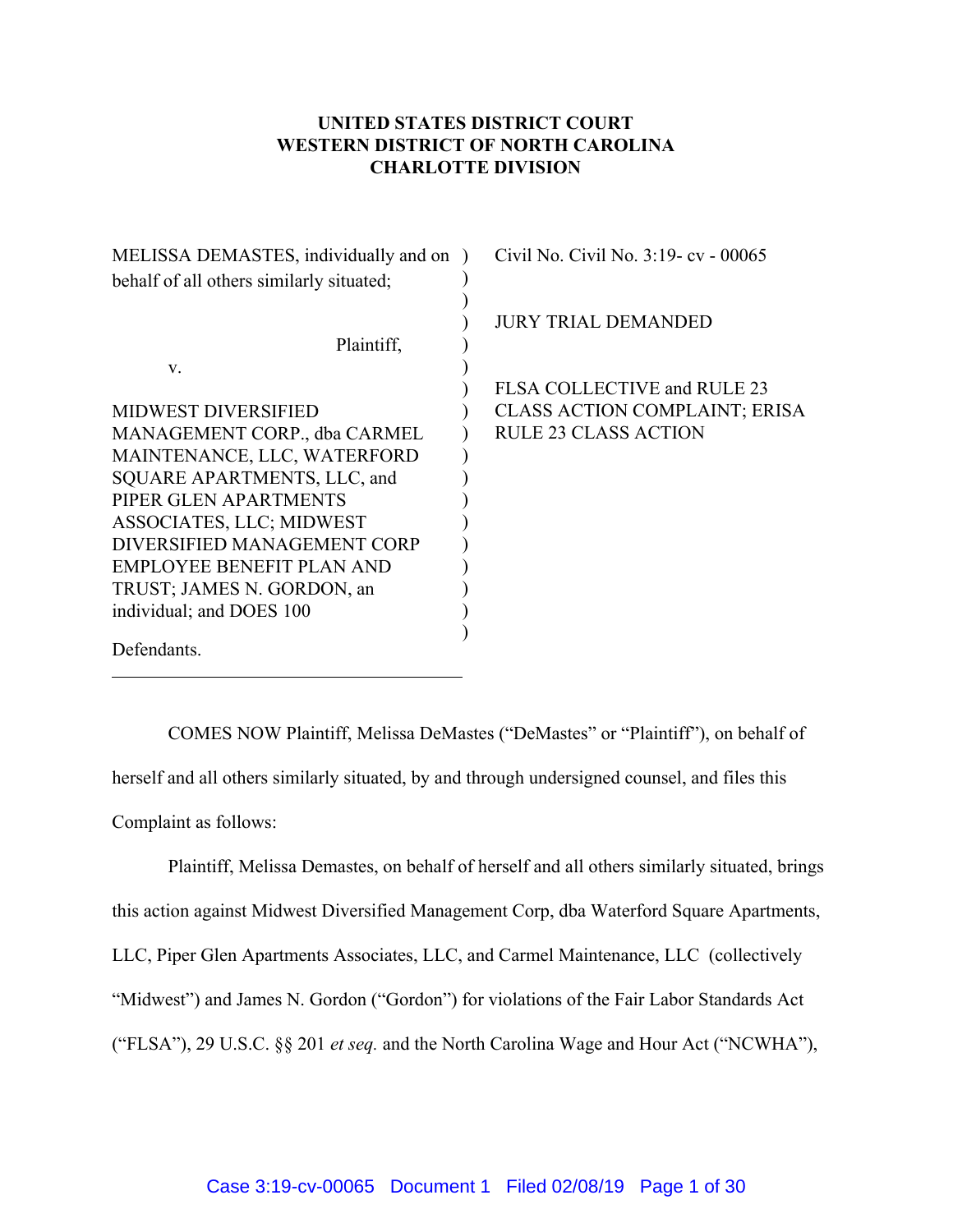## **UNITED STATES DISTRICT COURT WESTERN DISTRICT OF NORTH CAROLINA CHARLOTTE DIVISION**

| MELISSA DEMASTES, individually and on    | Civil No. Civil No. 3:19 - cv - 00065 |
|------------------------------------------|---------------------------------------|
| behalf of all others similarly situated; |                                       |
|                                          | <b>JURY TRIAL DEMANDED</b>            |
| Plaintiff,                               |                                       |
| V.                                       |                                       |
|                                          | FLSA COLLECTIVE and RULE 23           |
| <b>MIDWEST DIVERSIFIED</b>               | <b>CLASS ACTION COMPLAINT; ERISA</b>  |
| MANAGEMENT CORP., dba CARMEL             | <b>RULE 23 CLASS ACTION</b>           |
| MAINTENANCE, LLC, WATERFORD              |                                       |
| SQUARE APARTMENTS, LLC, and              |                                       |
| PIPER GLEN APARTMENTS                    |                                       |
| ASSOCIATES, LLC; MIDWEST                 |                                       |
| DIVERSIFIED MANAGEMENT CORP              |                                       |
| <b>EMPLOYEE BENEFIT PLAN AND</b>         |                                       |
| TRUST; JAMES N. GORDON, an               |                                       |
| individual; and DOES 100                 |                                       |
|                                          |                                       |
| Defendants.                              |                                       |

COMES NOW Plaintiff, Melissa DeMastes ("DeMastes" or "Plaintiff"), on behalf of herself and all others similarly situated, by and through undersigned counsel, and files this Complaint as follows:

Plaintiff, Melissa Demastes, on behalf of herself and all others similarly situated, brings this action against Midwest Diversified Management Corp, dba Waterford Square Apartments, LLC, Piper Glen Apartments Associates, LLC, and Carmel Maintenance, LLC (collectively "Midwest") and James N. Gordon ("Gordon") for violations of the Fair Labor Standards Act ("FLSA"), 29 U.S.C. §§ 201 *et seq.* and the North Carolina Wage and Hour Act ("NCWHA"),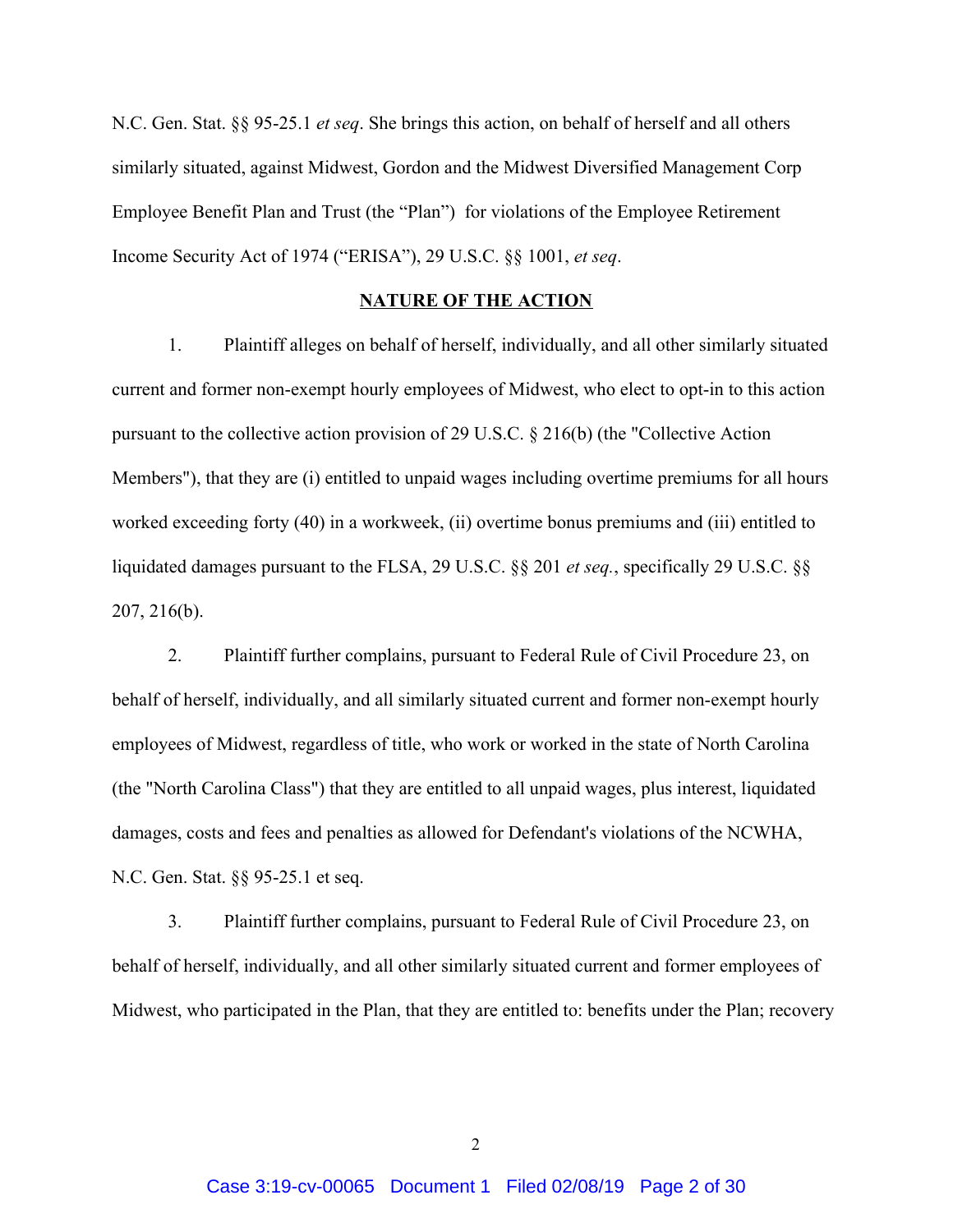N.C. Gen. Stat. §§ 95-25.1 *et seq*. She brings this action, on behalf of herself and all others similarly situated, against Midwest, Gordon and the Midwest Diversified Management Corp Employee Benefit Plan and Trust (the "Plan") for violations of the Employee Retirement Income Security Act of 1974 ("ERISA"), 29 U.S.C. §§ 1001, *et seq*.

### **NATURE OF THE ACTION**

1. Plaintiff alleges on behalf of herself, individually, and all other similarly situated current and former non-exempt hourly employees of Midwest, who elect to opt-in to this action pursuant to the collective action provision of 29 U.S.C. § 216(b) (the "Collective Action Members"), that they are (i) entitled to unpaid wages including overtime premiums for all hours worked exceeding forty (40) in a workweek, (ii) overtime bonus premiums and (iii) entitled to liquidated damages pursuant to the FLSA, 29 U.S.C. §§ 201 *et seq.*, specifically 29 U.S.C. §§ 207, 216(b).

2. Plaintiff further complains, pursuant to Federal Rule of Civil Procedure 23, on behalf of herself, individually, and all similarly situated current and former non-exempt hourly employees of Midwest, regardless of title, who work or worked in the state of North Carolina (the "North Carolina Class") that they are entitled to all unpaid wages, plus interest, liquidated damages, costs and fees and penalties as allowed for Defendant's violations of the NCWHA, N.C. Gen. Stat. §§ 95-25.1 et seq.

3. Plaintiff further complains, pursuant to Federal Rule of Civil Procedure 23, on behalf of herself, individually, and all other similarly situated current and former employees of Midwest, who participated in the Plan, that they are entitled to: benefits under the Plan; recovery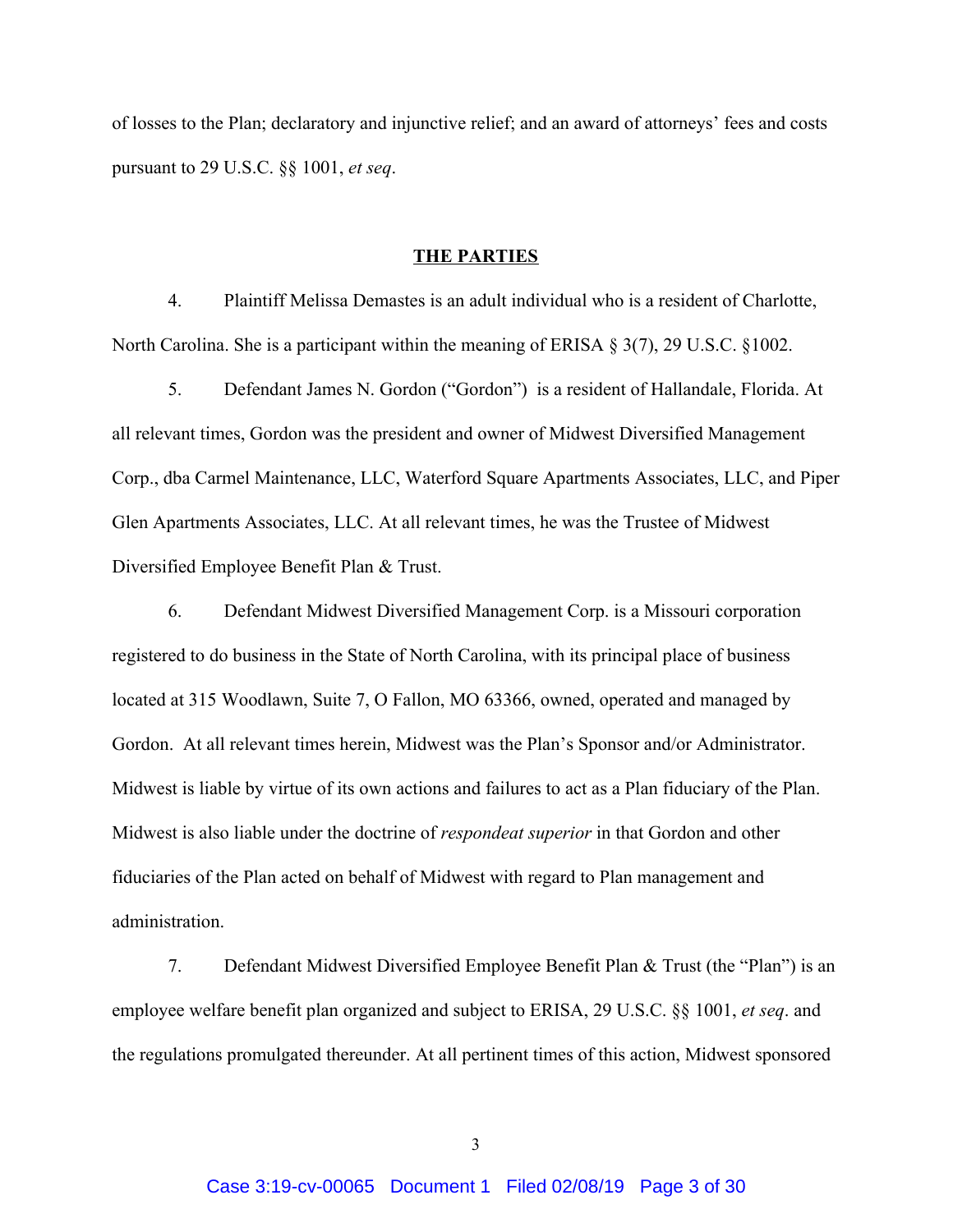of losses to the Plan; declaratory and injunctive relief; and an award of attorneys' fees and costs pursuant to 29 U.S.C. §§ 1001, *et seq*.

### **THE PARTIES**

4. Plaintiff Melissa Demastes is an adult individual who is a resident of Charlotte, North Carolina. She is a participant within the meaning of ERISA § 3(7), 29 U.S.C. §1002.

5. Defendant James N. Gordon ("Gordon") is a resident of Hallandale, Florida. At all relevant times, Gordon was the president and owner of Midwest Diversified Management Corp., dba Carmel Maintenance, LLC, Waterford Square Apartments Associates, LLC, and Piper Glen Apartments Associates, LLC. At all relevant times, he was the Trustee of Midwest Diversified Employee Benefit Plan & Trust.

6. Defendant Midwest Diversified Management Corp. is a Missouri corporation registered to do business in the State of North Carolina, with its principal place of business located at 315 Woodlawn, Suite 7, O Fallon, MO 63366, owned, operated and managed by Gordon. At all relevant times herein, Midwest was the Plan's Sponsor and/or Administrator. Midwest is liable by virtue of its own actions and failures to act as a Plan fiduciary of the Plan. Midwest is also liable under the doctrine of *respondeat superior* in that Gordon and other fiduciaries of the Plan acted on behalf of Midwest with regard to Plan management and administration.

7. Defendant Midwest Diversified Employee Benefit Plan & Trust (the "Plan") is an employee welfare benefit plan organized and subject to ERISA, 29 U.S.C. §§ 1001, *et seq*. and the regulations promulgated thereunder. At all pertinent times of this action, Midwest sponsored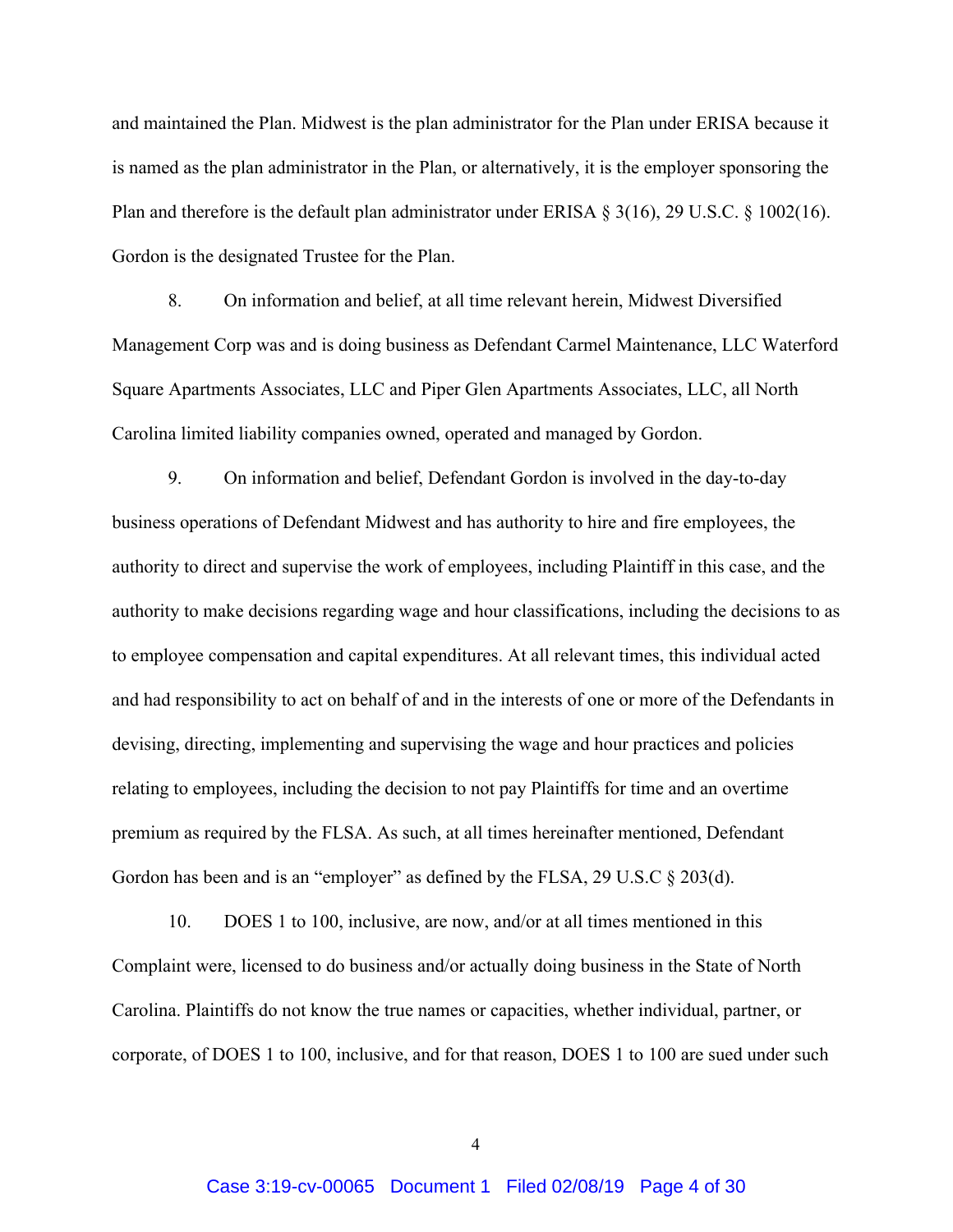and maintained the Plan. Midwest is the plan administrator for the Plan under ERISA because it is named as the plan administrator in the Plan, or alternatively, it is the employer sponsoring the Plan and therefore is the default plan administrator under ERISA § 3(16), 29 U.S.C. § 1002(16). Gordon is the designated Trustee for the Plan.

8. On information and belief, at all time relevant herein, Midwest Diversified Management Corp was and is doing business as Defendant Carmel Maintenance, LLC Waterford Square Apartments Associates, LLC and Piper Glen Apartments Associates, LLC, all North Carolina limited liability companies owned, operated and managed by Gordon.

9. On information and belief, Defendant Gordon is involved in the day-to-day business operations of Defendant Midwest and has authority to hire and fire employees, the authority to direct and supervise the work of employees, including Plaintiff in this case, and the authority to make decisions regarding wage and hour classifications, including the decisions to as to employee compensation and capital expenditures. At all relevant times, this individual acted and had responsibility to act on behalf of and in the interests of one or more of the Defendants in devising, directing, implementing and supervising the wage and hour practices and policies relating to employees, including the decision to not pay Plaintiffs for time and an overtime premium as required by the FLSA. As such, at all times hereinafter mentioned, Defendant Gordon has been and is an "employer" as defined by the FLSA, 29 U.S.C § 203(d).

10. DOES 1 to 100, inclusive, are now, and/or at all times mentioned in this Complaint were, licensed to do business and/or actually doing business in the State of North Carolina. Plaintiffs do not know the true names or capacities, whether individual, partner, or corporate, of DOES 1 to 100, inclusive, and for that reason, DOES 1 to 100 are sued under such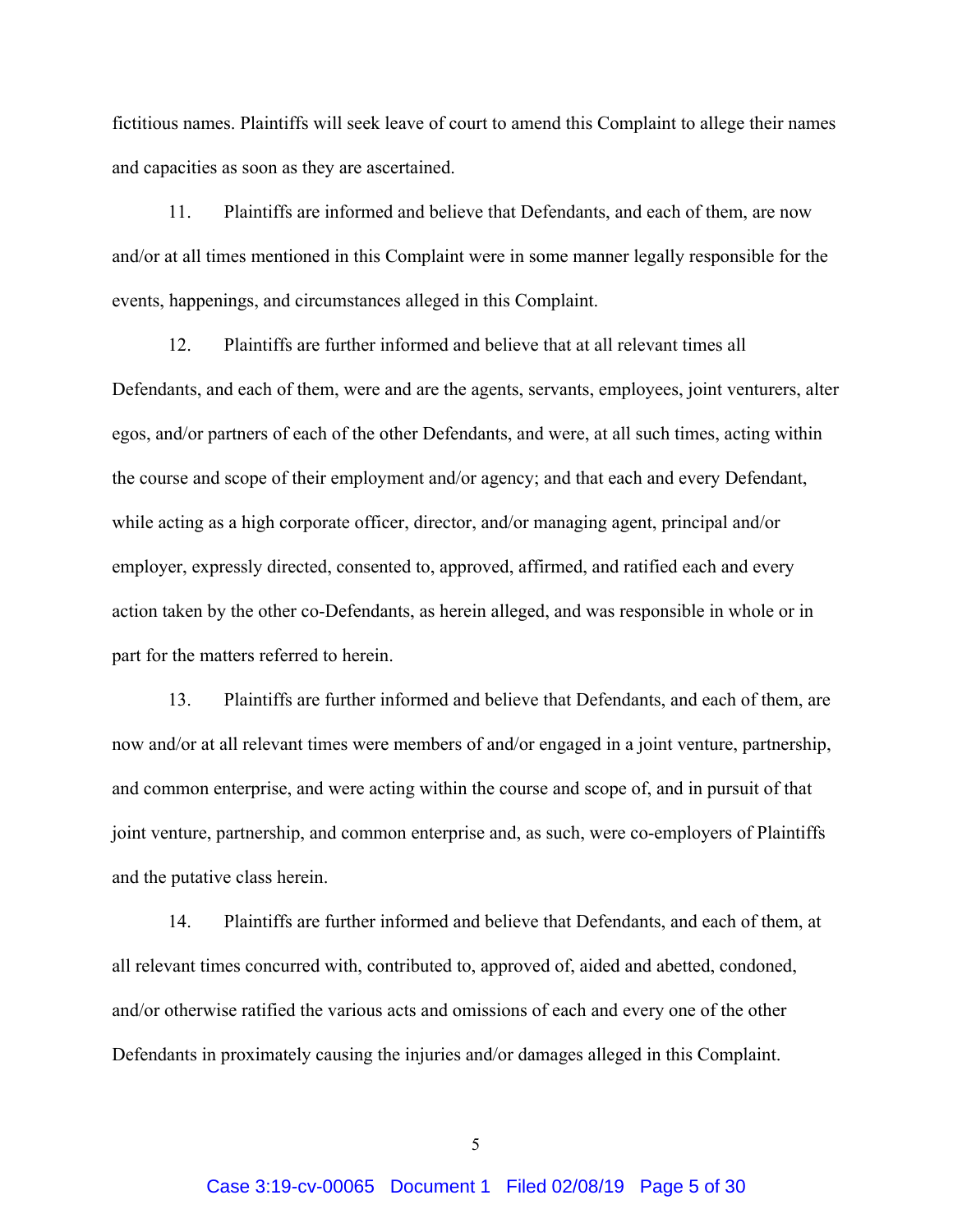fictitious names. Plaintiffs will seek leave of court to amend this Complaint to allege their names and capacities as soon as they are ascertained.

11. Plaintiffs are informed and believe that Defendants, and each of them, are now and/or at all times mentioned in this Complaint were in some manner legally responsible for the events, happenings, and circumstances alleged in this Complaint.

12. Plaintiffs are further informed and believe that at all relevant times all Defendants, and each of them, were and are the agents, servants, employees, joint venturers, alter egos, and/or partners of each of the other Defendants, and were, at all such times, acting within the course and scope of their employment and/or agency; and that each and every Defendant, while acting as a high corporate officer, director, and/or managing agent, principal and/or employer, expressly directed, consented to, approved, affirmed, and ratified each and every action taken by the other co-Defendants, as herein alleged, and was responsible in whole or in part for the matters referred to herein.

13. Plaintiffs are further informed and believe that Defendants, and each of them, are now and/or at all relevant times were members of and/or engaged in a joint venture, partnership, and common enterprise, and were acting within the course and scope of, and in pursuit of that joint venture, partnership, and common enterprise and, as such, were co-employers of Plaintiffs and the putative class herein.

14. Plaintiffs are further informed and believe that Defendants, and each of them, at all relevant times concurred with, contributed to, approved of, aided and abetted, condoned, and/or otherwise ratified the various acts and omissions of each and every one of the other Defendants in proximately causing the injuries and/or damages alleged in this Complaint.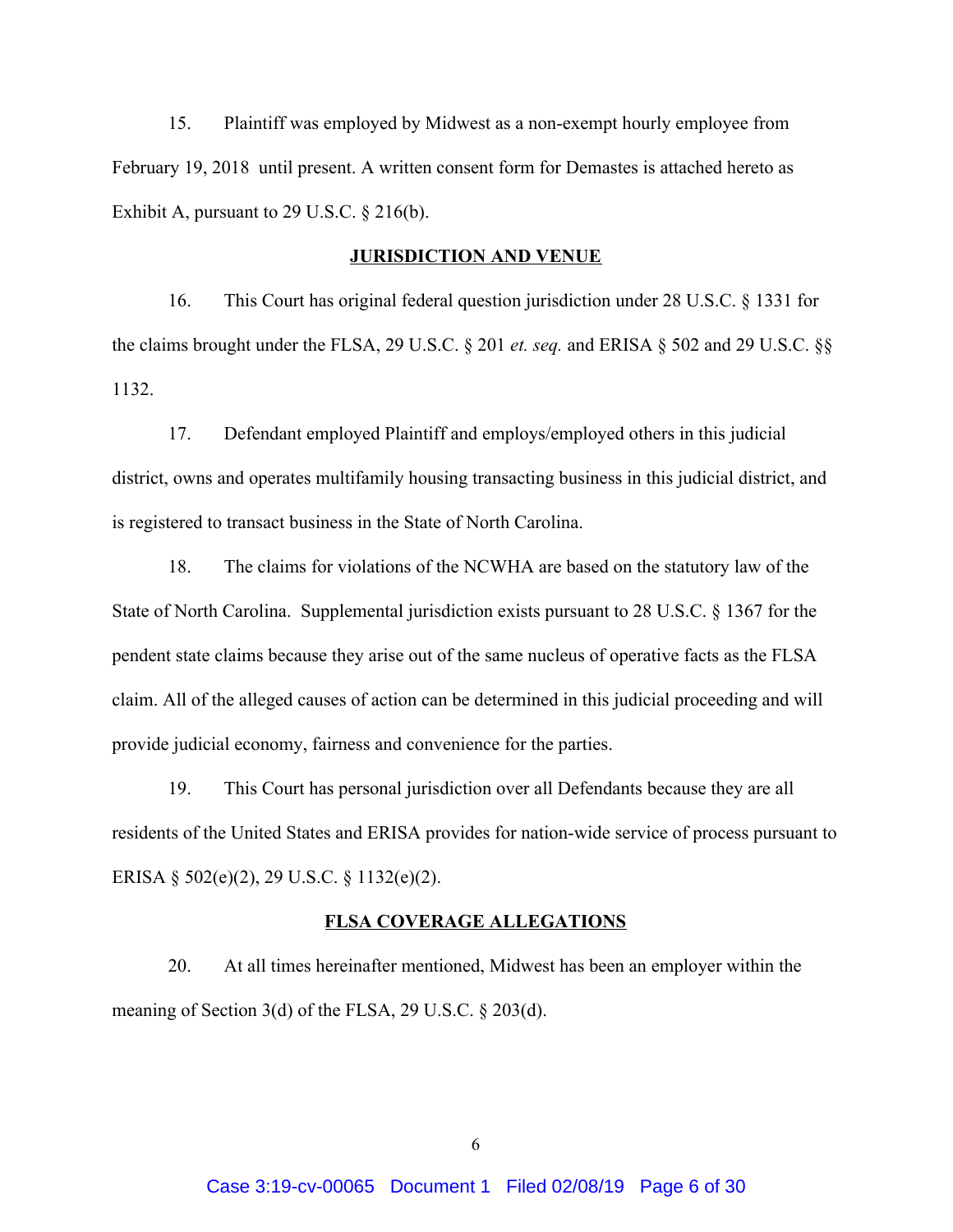15. Plaintiff was employed by Midwest as a non-exempt hourly employee from February 19, 2018 until present. A written consent form for Demastes is attached hereto as Exhibit A, pursuant to 29 U.S.C. § 216(b).

### **JURISDICTION AND VENUE**

16. This Court has original federal question jurisdiction under 28 U.S.C. § 1331 for the claims brought under the FLSA, 29 U.S.C. § 201 *et. seq.* and ERISA § 502 and 29 U.S.C. §§ 1132.

17. Defendant employed Plaintiff and employs/employed others in this judicial district, owns and operates multifamily housing transacting business in this judicial district, and is registered to transact business in the State of North Carolina.

18. The claims for violations of the NCWHA are based on the statutory law of the State of North Carolina. Supplemental jurisdiction exists pursuant to 28 U.S.C. § 1367 for the pendent state claims because they arise out of the same nucleus of operative facts as the FLSA claim. All of the alleged causes of action can be determined in this judicial proceeding and will provide judicial economy, fairness and convenience for the parties.

19. This Court has personal jurisdiction over all Defendants because they are all residents of the United States and ERISA provides for nation-wide service of process pursuant to ERISA § 502(e)(2), 29 U.S.C. § 1132(e)(2).

### **FLSA COVERAGE ALLEGATIONS**

20. At all times hereinafter mentioned, Midwest has been an employer within the meaning of Section 3(d) of the FLSA, 29 U.S.C. § 203(d).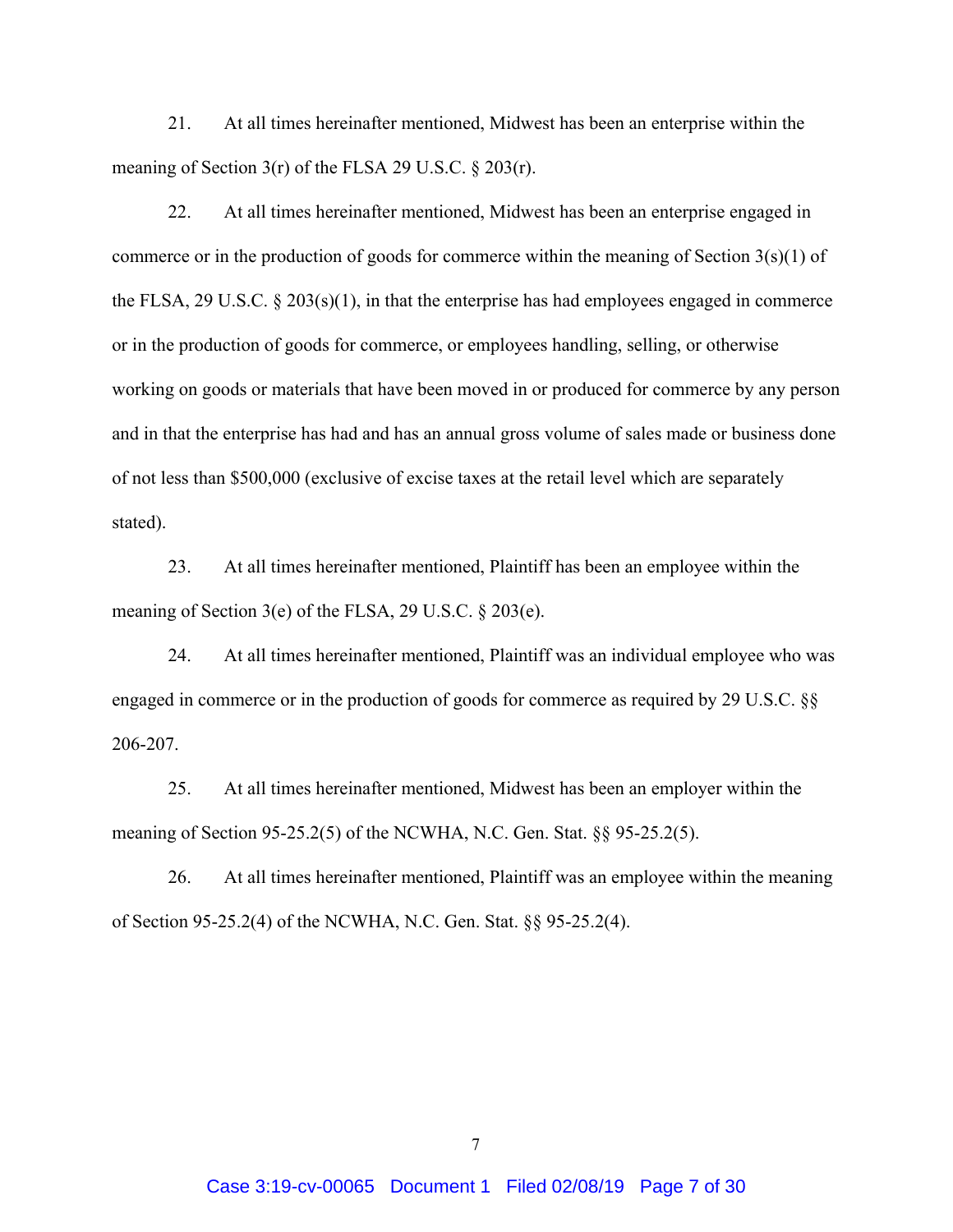21. At all times hereinafter mentioned, Midwest has been an enterprise within the meaning of Section 3(r) of the FLSA 29 U.S.C. § 203(r).

22. At all times hereinafter mentioned, Midwest has been an enterprise engaged in commerce or in the production of goods for commerce within the meaning of Section 3(s)(1) of the FLSA, 29 U.S.C.  $\S$  203(s)(1), in that the enterprise has had employees engaged in commerce or in the production of goods for commerce, or employees handling, selling, or otherwise working on goods or materials that have been moved in or produced for commerce by any person and in that the enterprise has had and has an annual gross volume of sales made or business done of not less than \$500,000 (exclusive of excise taxes at the retail level which are separately stated).

23. At all times hereinafter mentioned, Plaintiff has been an employee within the meaning of Section 3(e) of the FLSA, 29 U.S.C. § 203(e).

24. At all times hereinafter mentioned, Plaintiff was an individual employee who was engaged in commerce or in the production of goods for commerce as required by 29 U.S.C. §§ 206-207.

25. At all times hereinafter mentioned, Midwest has been an employer within the meaning of Section 95-25.2(5) of the NCWHA, N.C. Gen. Stat. §§ 95-25.2(5).

26. At all times hereinafter mentioned, Plaintiff was an employee within the meaning of Section 95-25.2(4) of the NCWHA, N.C. Gen. Stat. §§ 95-25.2(4).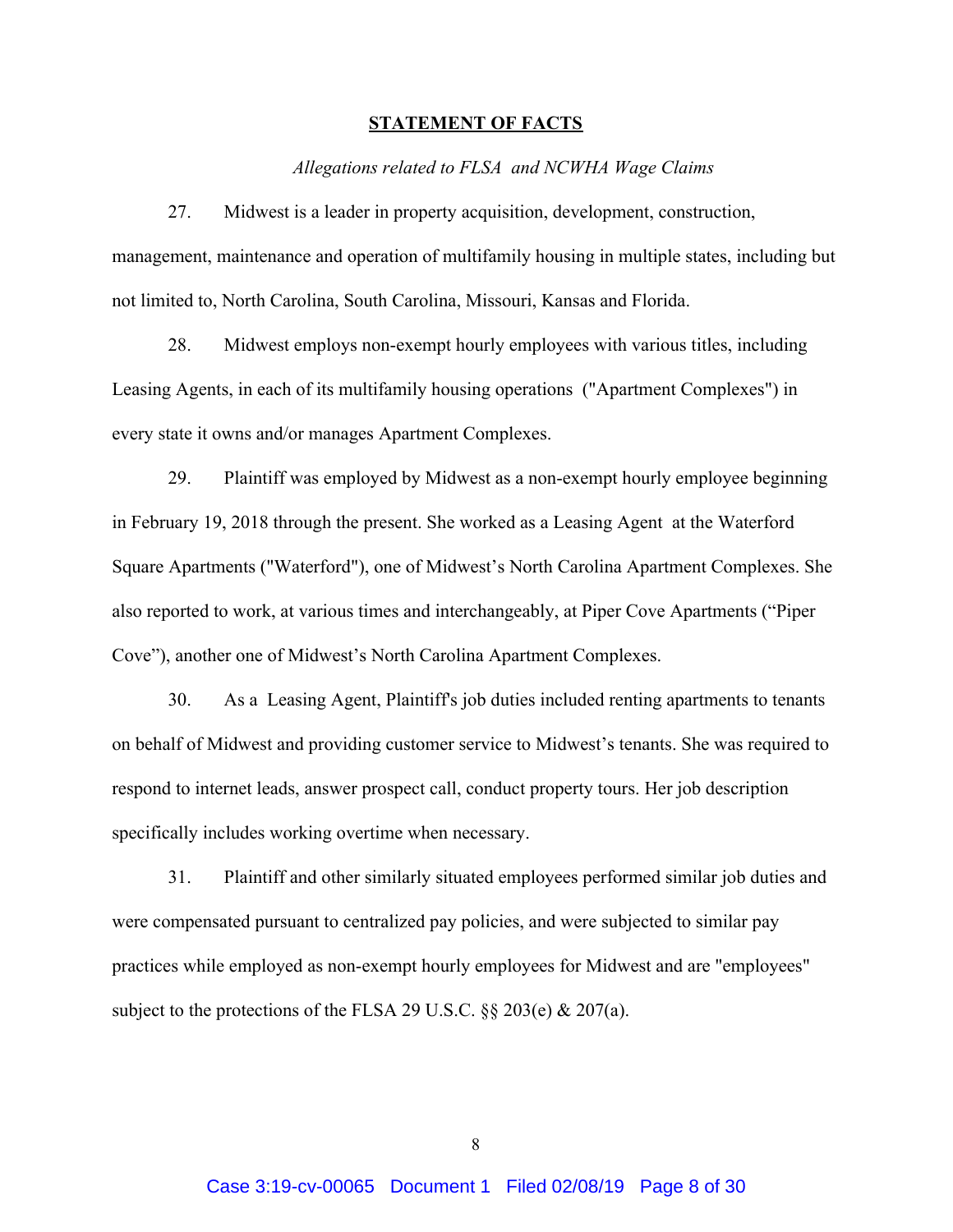### **STATEMENT OF FACTS**

### *Allegations related to FLSA and NCWHA Wage Claims*

27. Midwest is a leader in property acquisition, development, construction, management, maintenance and operation of multifamily housing in multiple states, including but not limited to, North Carolina, South Carolina, Missouri, Kansas and Florida.

28. Midwest employs non-exempt hourly employees with various titles, including Leasing Agents, in each of its multifamily housing operations ("Apartment Complexes") in every state it owns and/or manages Apartment Complexes.

29. Plaintiff was employed by Midwest as a non-exempt hourly employee beginning in February 19, 2018 through the present. She worked as a Leasing Agent at the Waterford Square Apartments ("Waterford"), one of Midwest's North Carolina Apartment Complexes. She also reported to work, at various times and interchangeably, at Piper Cove Apartments ("Piper Cove"), another one of Midwest's North Carolina Apartment Complexes.

30. As a Leasing Agent, Plaintiff's job duties included renting apartments to tenants on behalf of Midwest and providing customer service to Midwest's tenants. She was required to respond to internet leads, answer prospect call, conduct property tours. Her job description specifically includes working overtime when necessary.

31. Plaintiff and other similarly situated employees performed similar job duties and were compensated pursuant to centralized pay policies, and were subjected to similar pay practices while employed as non-exempt hourly employees for Midwest and are "employees" subject to the protections of the FLSA 29 U.S.C.  $\S$  203(e) & 207(a).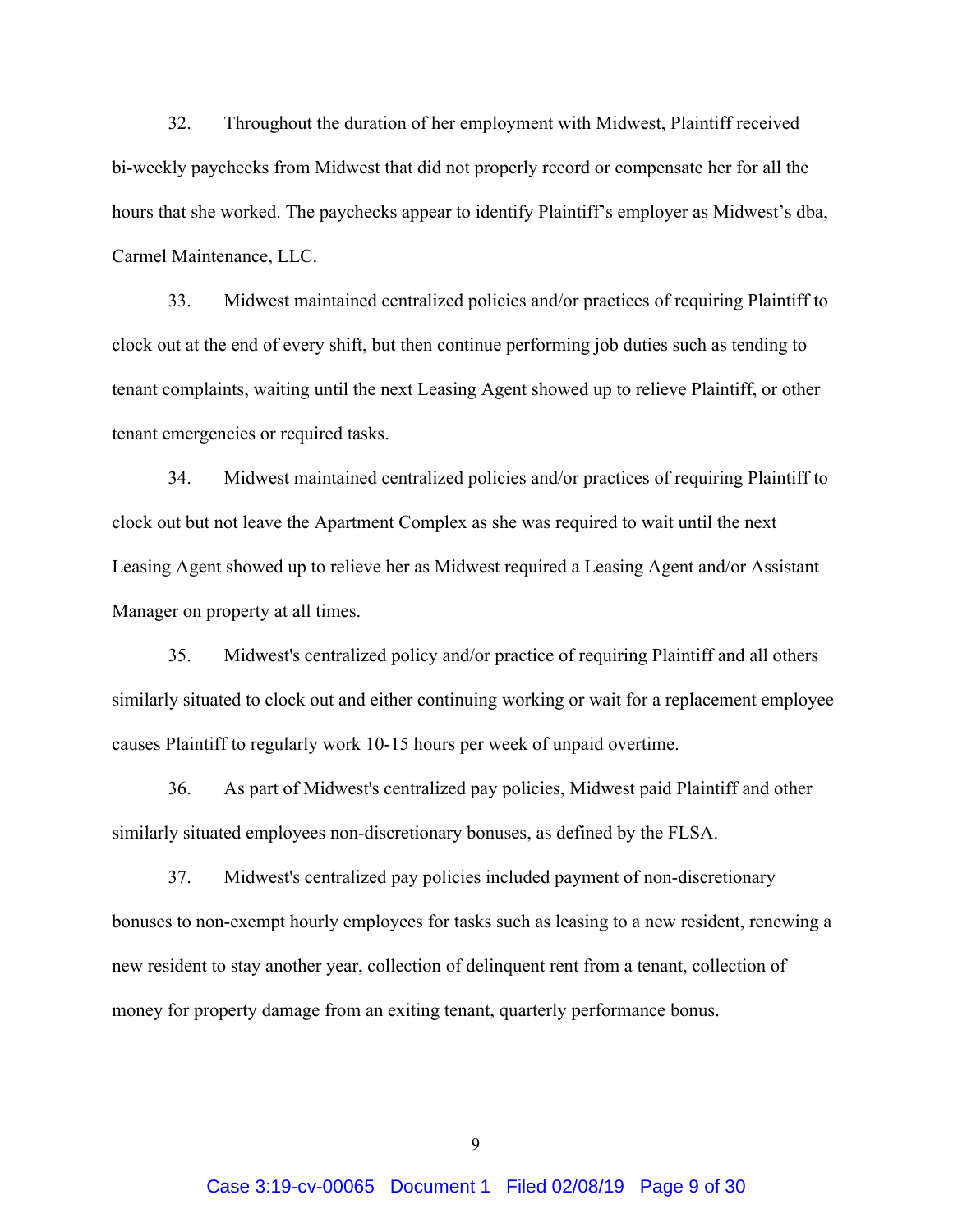32. Throughout the duration of her employment with Midwest, Plaintiff received bi-weekly paychecks from Midwest that did not properly record or compensate her for all the hours that she worked. The paychecks appear to identify Plaintiff's employer as Midwest's dba, Carmel Maintenance, LLC.

33. Midwest maintained centralized policies and/or practices of requiring Plaintiff to clock out at the end of every shift, but then continue performing job duties such as tending to tenant complaints, waiting until the next Leasing Agent showed up to relieve Plaintiff, or other tenant emergencies or required tasks.

34. Midwest maintained centralized policies and/or practices of requiring Plaintiff to clock out but not leave the Apartment Complex as she was required to wait until the next Leasing Agent showed up to relieve her as Midwest required a Leasing Agent and/or Assistant Manager on property at all times.

35. Midwest's centralized policy and/or practice of requiring Plaintiff and all others similarly situated to clock out and either continuing working or wait for a replacement employee causes Plaintiff to regularly work 10-15 hours per week of unpaid overtime.

36. As part of Midwest's centralized pay policies, Midwest paid Plaintiff and other similarly situated employees non-discretionary bonuses, as defined by the FLSA.

37. Midwest's centralized pay policies included payment of non-discretionary bonuses to non-exempt hourly employees for tasks such as leasing to a new resident, renewing a new resident to stay another year, collection of delinquent rent from a tenant, collection of money for property damage from an exiting tenant, quarterly performance bonus.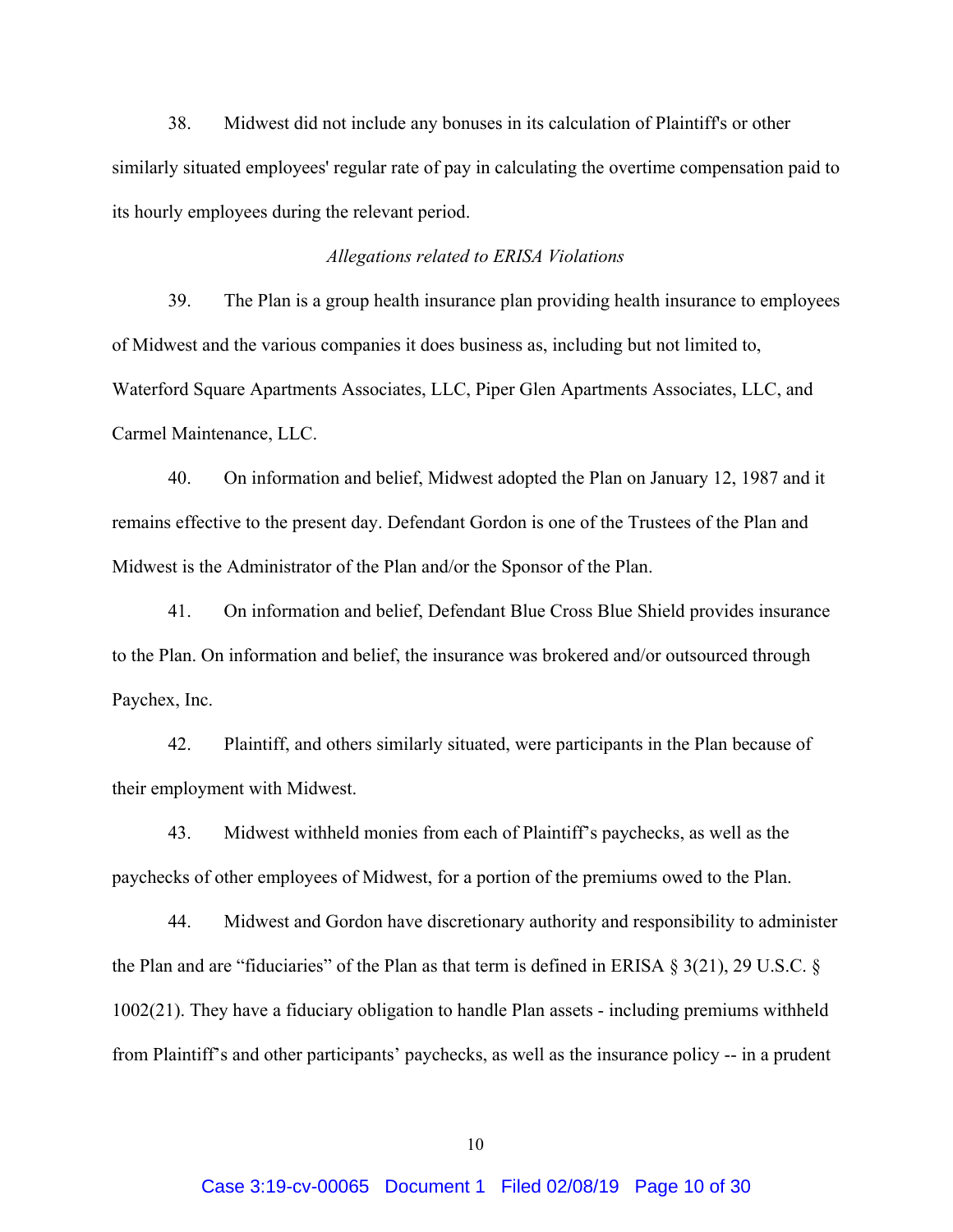38. Midwest did not include any bonuses in its calculation of Plaintiff's or other similarly situated employees' regular rate of pay in calculating the overtime compensation paid to its hourly employees during the relevant period.

### *Allegations related to ERISA Violations*

39. The Plan is a group health insurance plan providing health insurance to employees of Midwest and the various companies it does business as, including but not limited to, Waterford Square Apartments Associates, LLC, Piper Glen Apartments Associates, LLC, and Carmel Maintenance, LLC.

40. On information and belief, Midwest adopted the Plan on January 12, 1987 and it remains effective to the present day. Defendant Gordon is one of the Trustees of the Plan and Midwest is the Administrator of the Plan and/or the Sponsor of the Plan.

41. On information and belief, Defendant Blue Cross Blue Shield provides insurance to the Plan. On information and belief, the insurance was brokered and/or outsourced through Paychex, Inc.

42. Plaintiff, and others similarly situated, were participants in the Plan because of their employment with Midwest.

43. Midwest withheld monies from each of Plaintiff's paychecks, as well as the paychecks of other employees of Midwest, for a portion of the premiums owed to the Plan.

44. Midwest and Gordon have discretionary authority and responsibility to administer the Plan and are "fiduciaries" of the Plan as that term is defined in ERISA § 3(21), 29 U.S.C. § 1002(21). They have a fiduciary obligation to handle Plan assets - including premiums withheld from Plaintiff's and other participants' paychecks, as well as the insurance policy -- in a prudent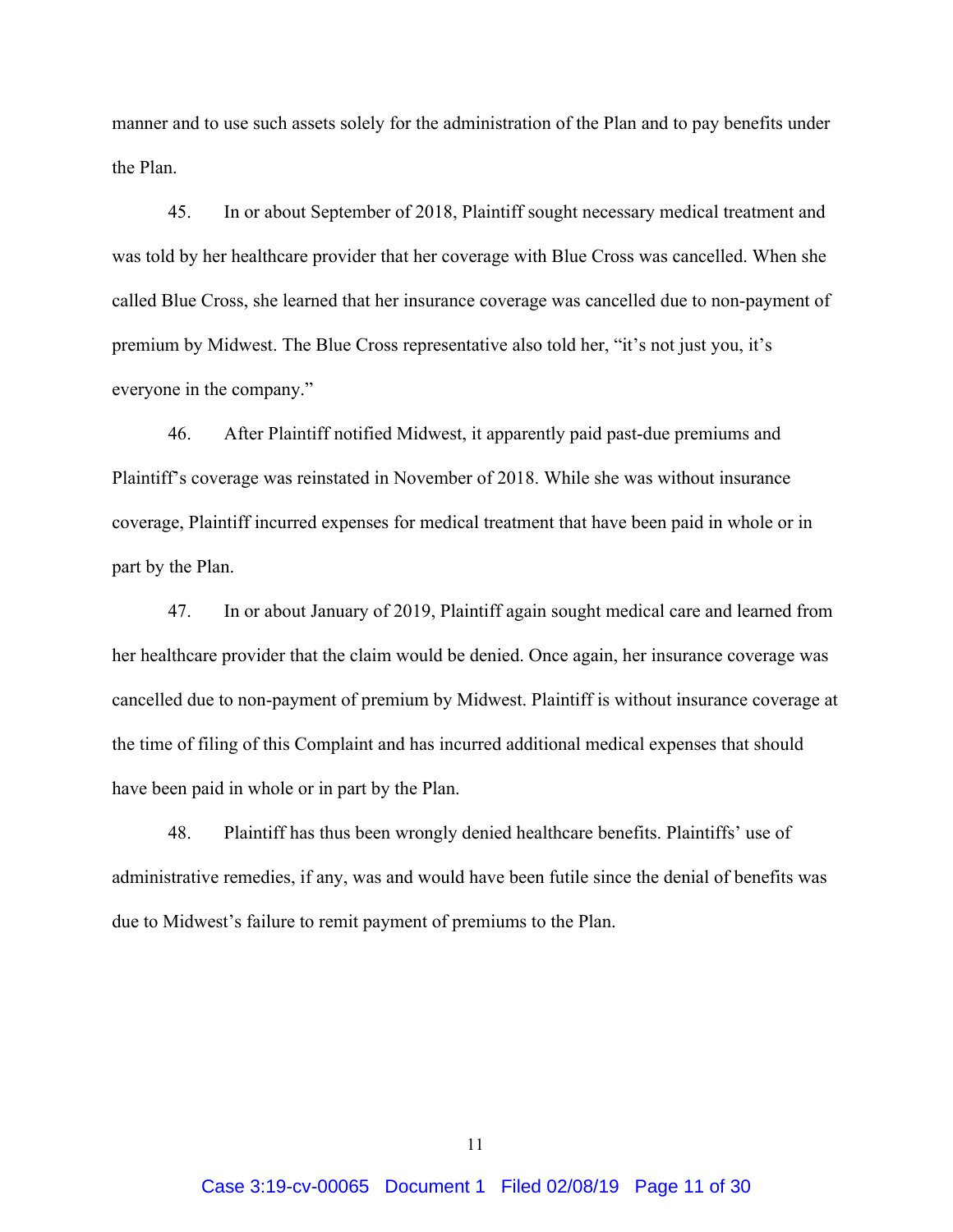manner and to use such assets solely for the administration of the Plan and to pay benefits under the Plan.

45. In or about September of 2018, Plaintiff sought necessary medical treatment and was told by her healthcare provider that her coverage with Blue Cross was cancelled. When she called Blue Cross, she learned that her insurance coverage was cancelled due to non-payment of premium by Midwest. The Blue Cross representative also told her, "it's not just you, it's everyone in the company."

46. After Plaintiff notified Midwest, it apparently paid past-due premiums and Plaintiff's coverage was reinstated in November of 2018. While she was without insurance coverage, Plaintiff incurred expenses for medical treatment that have been paid in whole or in part by the Plan.

47. In or about January of 2019, Plaintiff again sought medical care and learned from her healthcare provider that the claim would be denied. Once again, her insurance coverage was cancelled due to non-payment of premium by Midwest. Plaintiff is without insurance coverage at the time of filing of this Complaint and has incurred additional medical expenses that should have been paid in whole or in part by the Plan.

48. Plaintiff has thus been wrongly denied healthcare benefits. Plaintiffs' use of administrative remedies, if any, was and would have been futile since the denial of benefits was due to Midwest's failure to remit payment of premiums to the Plan.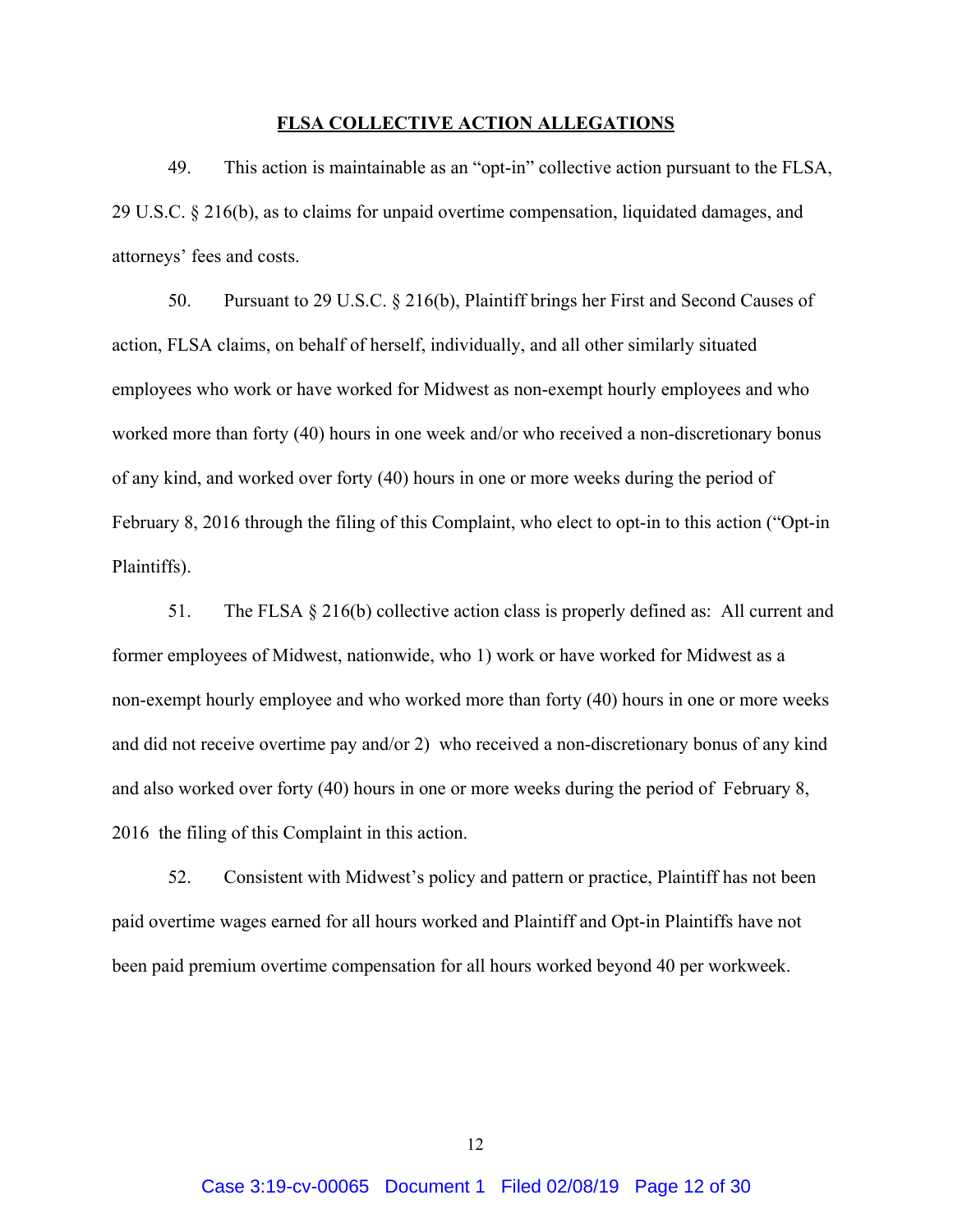#### **FLSA COLLECTIVE ACTION ALLEGATIONS**

49. This action is maintainable as an "opt-in" collective action pursuant to the FLSA, 29 U.S.C. § 216(b), as to claims for unpaid overtime compensation, liquidated damages, and attorneys' fees and costs.

50. Pursuant to 29 U.S.C. § 216(b), Plaintiff brings her First and Second Causes of action, FLSA claims, on behalf of herself, individually, and all other similarly situated employees who work or have worked for Midwest as non-exempt hourly employees and who worked more than forty (40) hours in one week and/or who received a non-discretionary bonus of any kind, and worked over forty (40) hours in one or more weeks during the period of February 8, 2016 through the filing of this Complaint, who elect to opt-in to this action ("Opt-in Plaintiffs).

51. The FLSA § 216(b) collective action class is properly defined as: All current and former employees of Midwest, nationwide, who 1) work or have worked for Midwest as a non-exempt hourly employee and who worked more than forty (40) hours in one or more weeks and did not receive overtime pay and/or 2) who received a non-discretionary bonus of any kind and also worked over forty (40) hours in one or more weeks during the period of February 8, 2016 the filing of this Complaint in this action.

52. Consistent with Midwest's policy and pattern or practice, Plaintiff has not been paid overtime wages earned for all hours worked and Plaintiff and Opt-in Plaintiffs have not been paid premium overtime compensation for all hours worked beyond 40 per workweek.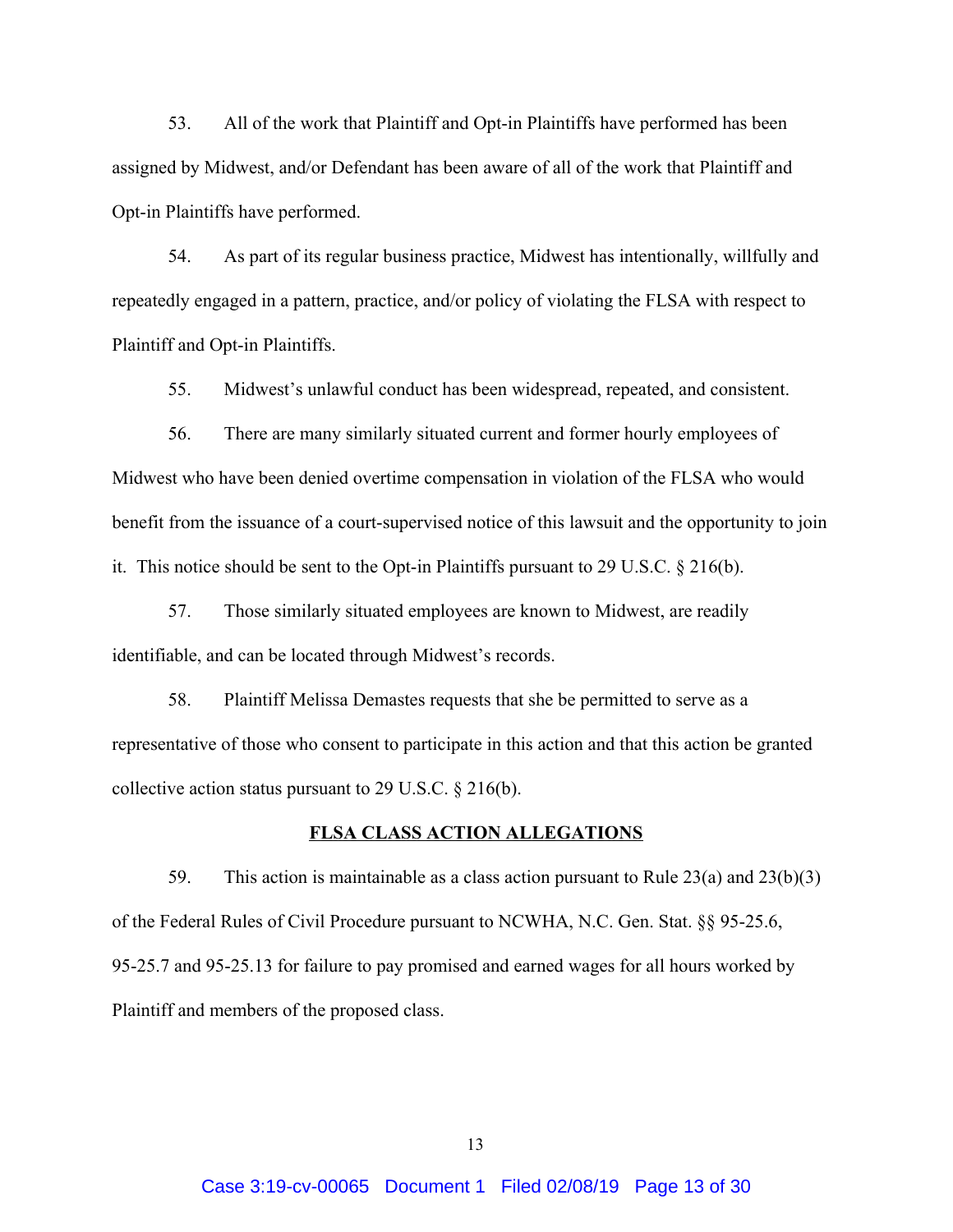53. All of the work that Plaintiff and Opt-in Plaintiffs have performed has been assigned by Midwest, and/or Defendant has been aware of all of the work that Plaintiff and Opt-in Plaintiffs have performed.

54. As part of its regular business practice, Midwest has intentionally, willfully and repeatedly engaged in a pattern, practice, and/or policy of violating the FLSA with respect to Plaintiff and Opt-in Plaintiffs.

55. Midwest's unlawful conduct has been widespread, repeated, and consistent.

56. There are many similarly situated current and former hourly employees of Midwest who have been denied overtime compensation in violation of the FLSA who would benefit from the issuance of a court-supervised notice of this lawsuit and the opportunity to join it. This notice should be sent to the Opt-in Plaintiffs pursuant to 29 U.S.C. § 216(b).

57. Those similarly situated employees are known to Midwest, are readily identifiable, and can be located through Midwest's records.

58. Plaintiff Melissa Demastes requests that she be permitted to serve as a representative of those who consent to participate in this action and that this action be granted collective action status pursuant to 29 U.S.C. § 216(b).

#### **FLSA CLASS ACTION ALLEGATIONS**

59. This action is maintainable as a class action pursuant to Rule 23(a) and 23(b)(3) of the Federal Rules of Civil Procedure pursuant to NCWHA, N.C. Gen. Stat. §§ 95-25.6, 95-25.7 and 95-25.13 for failure to pay promised and earned wages for all hours worked by Plaintiff and members of the proposed class.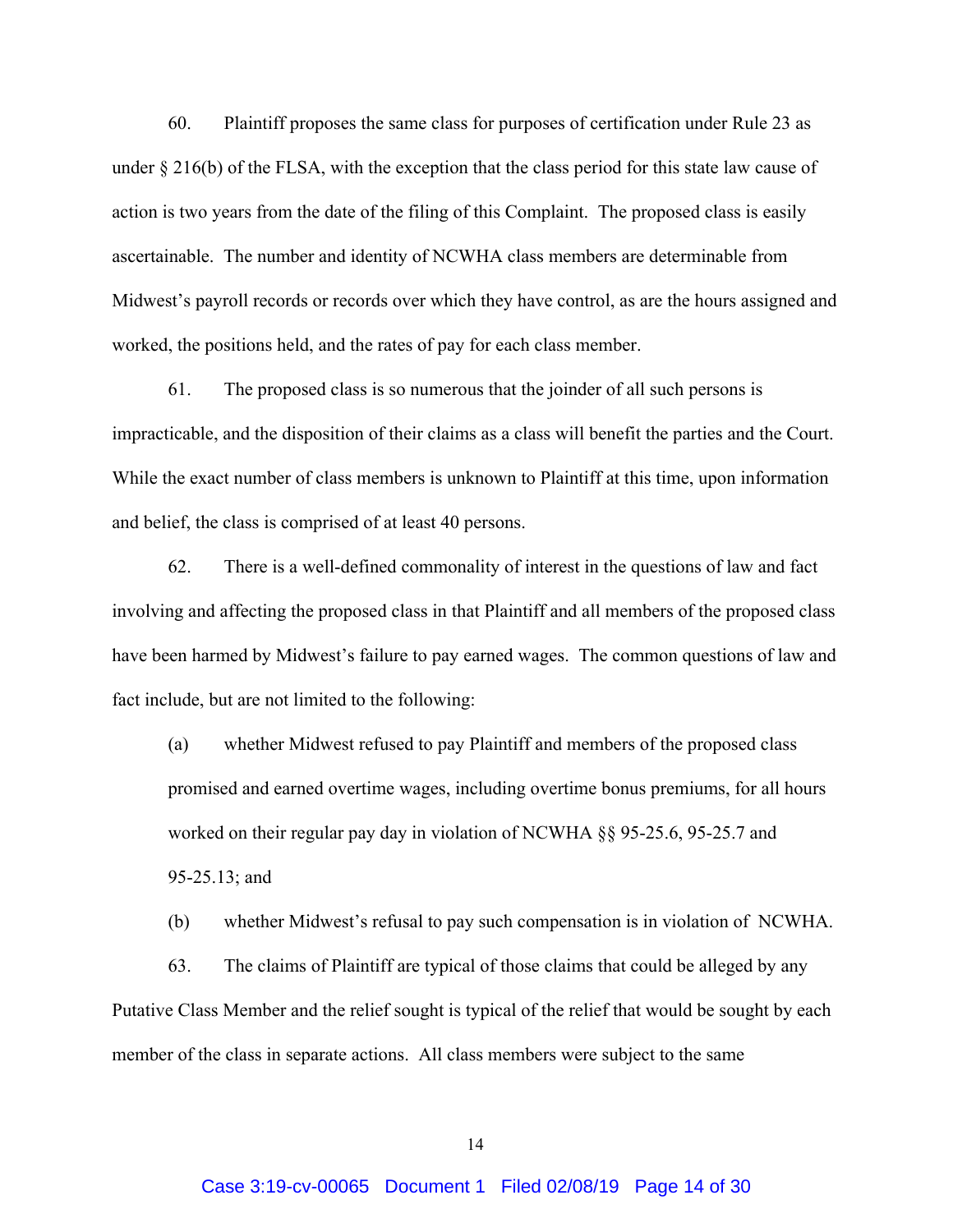60. Plaintiff proposes the same class for purposes of certification under Rule 23 as under § 216(b) of the FLSA, with the exception that the class period for this state law cause of action is two years from the date of the filing of this Complaint. The proposed class is easily ascertainable. The number and identity of NCWHA class members are determinable from Midwest's payroll records or records over which they have control, as are the hours assigned and worked, the positions held, and the rates of pay for each class member.

61. The proposed class is so numerous that the joinder of all such persons is impracticable, and the disposition of their claims as a class will benefit the parties and the Court. While the exact number of class members is unknown to Plaintiff at this time, upon information and belief, the class is comprised of at least 40 persons.

62. There is a well-defined commonality of interest in the questions of law and fact involving and affecting the proposed class in that Plaintiff and all members of the proposed class have been harmed by Midwest's failure to pay earned wages. The common questions of law and fact include, but are not limited to the following:

(a) whether Midwest refused to pay Plaintiff and members of the proposed class promised and earned overtime wages, including overtime bonus premiums, for all hours worked on their regular pay day in violation of NCWHA §§ 95-25.6, 95-25.7 and 95-25.13; and

(b) whether Midwest's refusal to pay such compensation is in violation of NCWHA.

63. The claims of Plaintiff are typical of those claims that could be alleged by any Putative Class Member and the relief sought is typical of the relief that would be sought by each member of the class in separate actions. All class members were subject to the same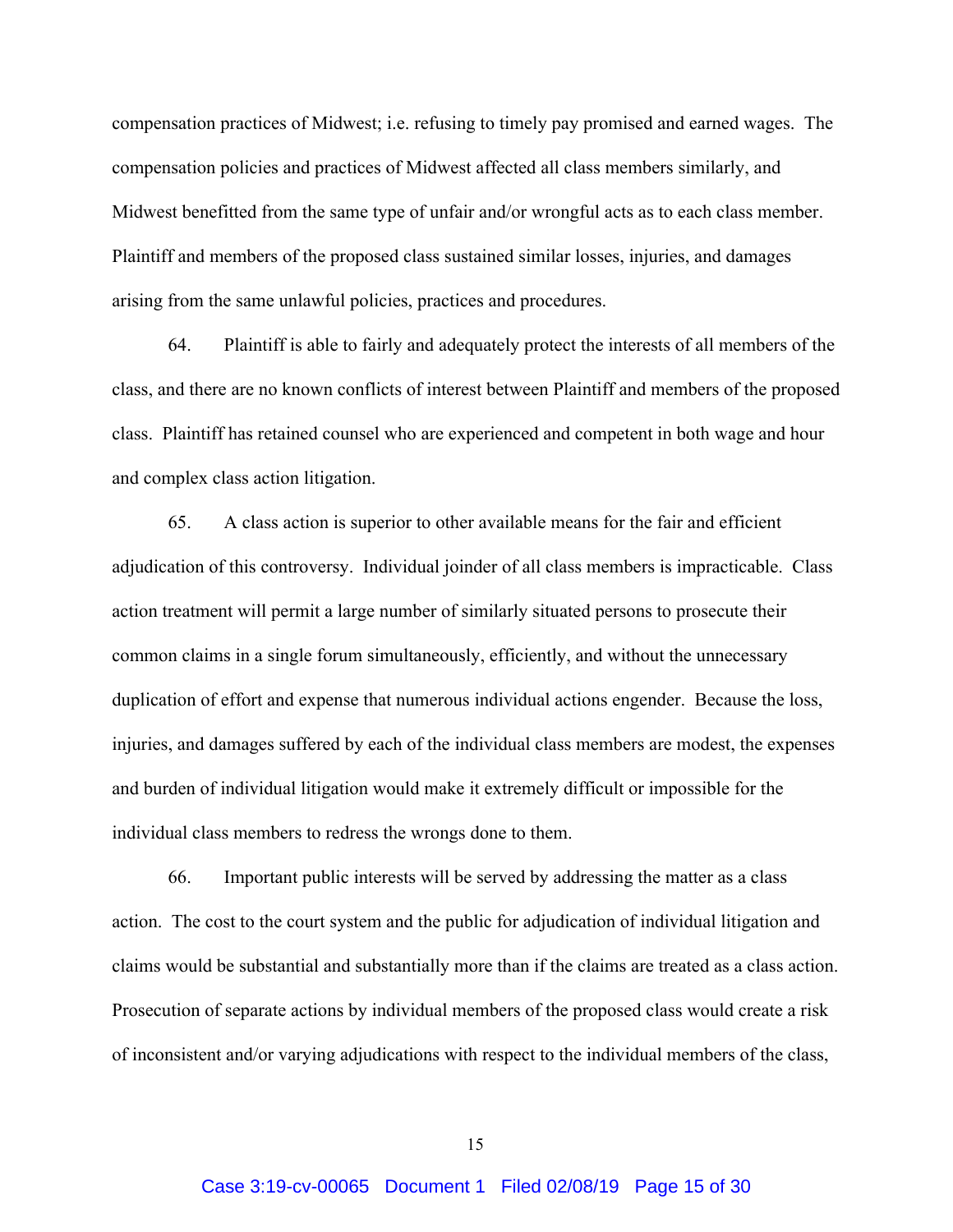compensation practices of Midwest; i.e. refusing to timely pay promised and earned wages. The compensation policies and practices of Midwest affected all class members similarly, and Midwest benefitted from the same type of unfair and/or wrongful acts as to each class member. Plaintiff and members of the proposed class sustained similar losses, injuries, and damages arising from the same unlawful policies, practices and procedures.

64. Plaintiff is able to fairly and adequately protect the interests of all members of the class, and there are no known conflicts of interest between Plaintiff and members of the proposed class. Plaintiff has retained counsel who are experienced and competent in both wage and hour and complex class action litigation.

65. A class action is superior to other available means for the fair and efficient adjudication of this controversy. Individual joinder of all class members is impracticable. Class action treatment will permit a large number of similarly situated persons to prosecute their common claims in a single forum simultaneously, efficiently, and without the unnecessary duplication of effort and expense that numerous individual actions engender. Because the loss, injuries, and damages suffered by each of the individual class members are modest, the expenses and burden of individual litigation would make it extremely difficult or impossible for the individual class members to redress the wrongs done to them.

66. Important public interests will be served by addressing the matter as a class action. The cost to the court system and the public for adjudication of individual litigation and claims would be substantial and substantially more than if the claims are treated as a class action. Prosecution of separate actions by individual members of the proposed class would create a risk of inconsistent and/or varying adjudications with respect to the individual members of the class,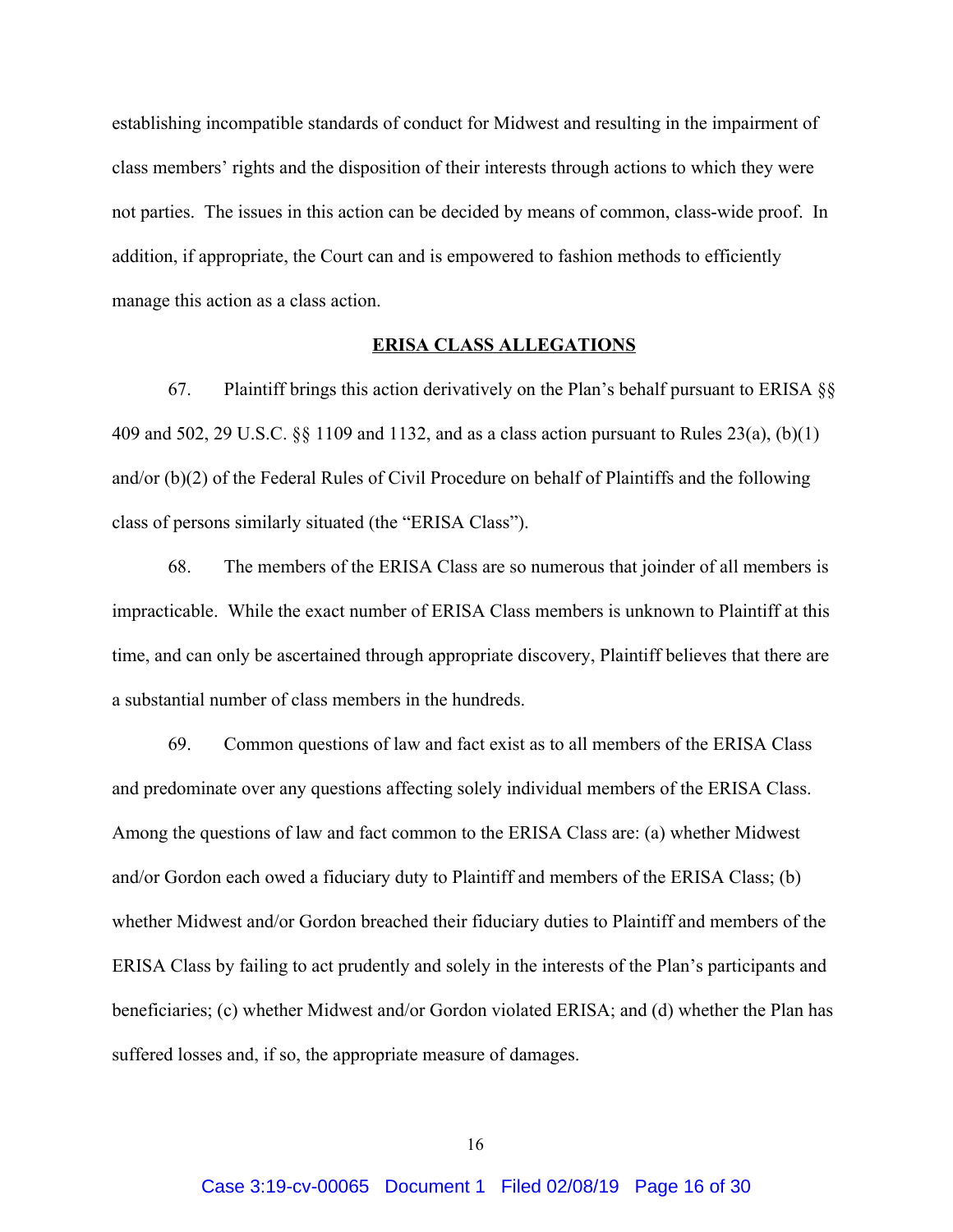establishing incompatible standards of conduct for Midwest and resulting in the impairment of class members' rights and the disposition of their interests through actions to which they were not parties. The issues in this action can be decided by means of common, class-wide proof. In addition, if appropriate, the Court can and is empowered to fashion methods to efficiently manage this action as a class action.

### **ERISA CLASS ALLEGATIONS**

67. Plaintiff brings this action derivatively on the Plan's behalf pursuant to ERISA §§ 409 and 502, 29 U.S.C. §§ 1109 and 1132, and as a class action pursuant to Rules 23(a), (b)(1) and/or (b)(2) of the Federal Rules of Civil Procedure on behalf of Plaintiffs and the following class of persons similarly situated (the "ERISA Class").

68. The members of the ERISA Class are so numerous that joinder of all members is impracticable. While the exact number of ERISA Class members is unknown to Plaintiff at this time, and can only be ascertained through appropriate discovery, Plaintiff believes that there are a substantial number of class members in the hundreds.

69. Common questions of law and fact exist as to all members of the ERISA Class and predominate over any questions affecting solely individual members of the ERISA Class. Among the questions of law and fact common to the ERISA Class are: (a) whether Midwest and/or Gordon each owed a fiduciary duty to Plaintiff and members of the ERISA Class; (b) whether Midwest and/or Gordon breached their fiduciary duties to Plaintiff and members of the ERISA Class by failing to act prudently and solely in the interests of the Plan's participants and beneficiaries; (c) whether Midwest and/or Gordon violated ERISA; and (d) whether the Plan has suffered losses and, if so, the appropriate measure of damages.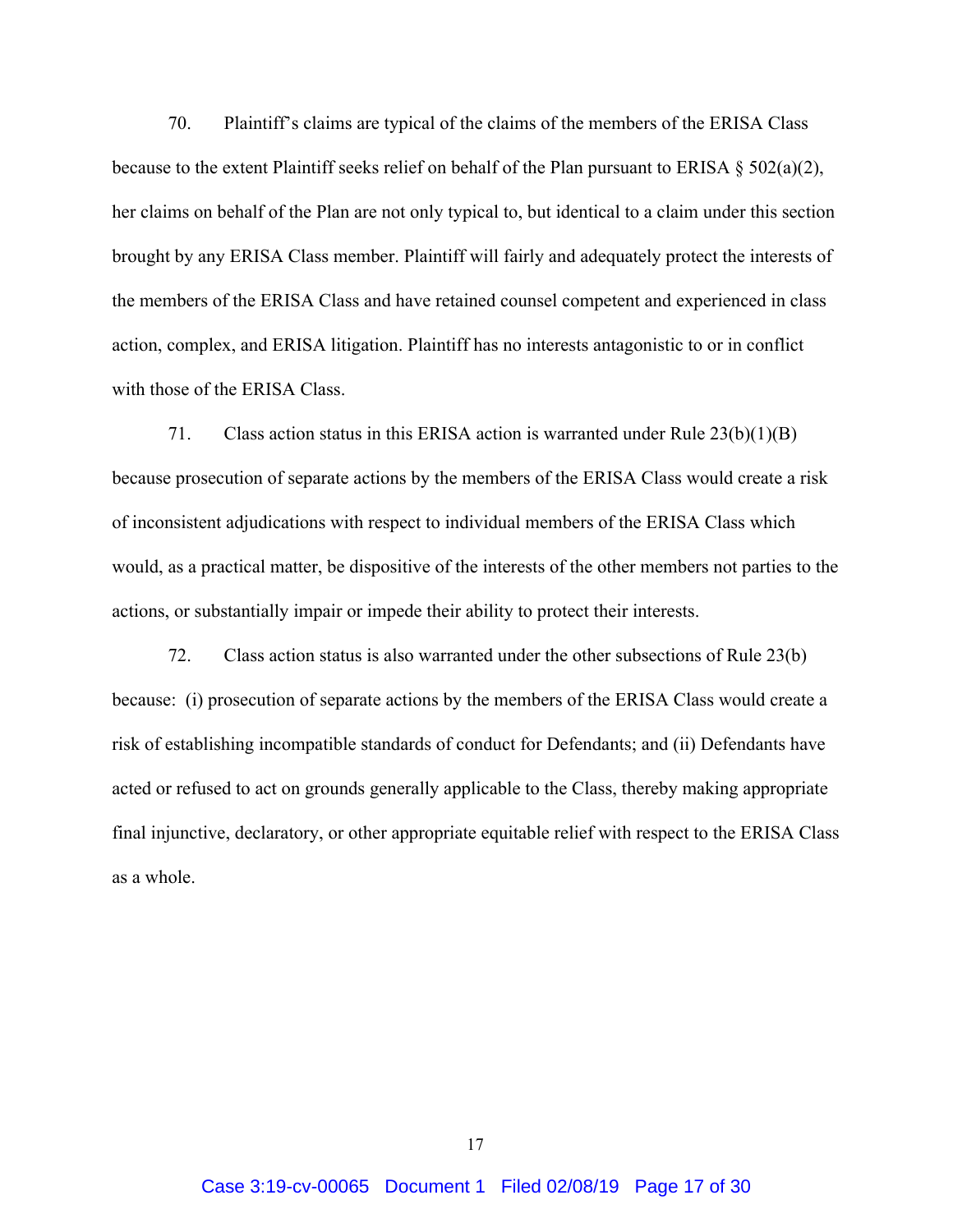70. Plaintiff's claims are typical of the claims of the members of the ERISA Class because to the extent Plaintiff seeks relief on behalf of the Plan pursuant to ERISA § 502(a)(2), her claims on behalf of the Plan are not only typical to, but identical to a claim under this section brought by any ERISA Class member. Plaintiff will fairly and adequately protect the interests of the members of the ERISA Class and have retained counsel competent and experienced in class action, complex, and ERISA litigation. Plaintiff has no interests antagonistic to or in conflict with those of the ERISA Class.

71. Class action status in this ERISA action is warranted under Rule 23(b)(1)(B) because prosecution of separate actions by the members of the ERISA Class would create a risk of inconsistent adjudications with respect to individual members of the ERISA Class which would, as a practical matter, be dispositive of the interests of the other members not parties to the actions, or substantially impair or impede their ability to protect their interests.

72. Class action status is also warranted under the other subsections of Rule 23(b) because: (i) prosecution of separate actions by the members of the ERISA Class would create a risk of establishing incompatible standards of conduct for Defendants; and (ii) Defendants have acted or refused to act on grounds generally applicable to the Class, thereby making appropriate final injunctive, declaratory, or other appropriate equitable relief with respect to the ERISA Class as a whole.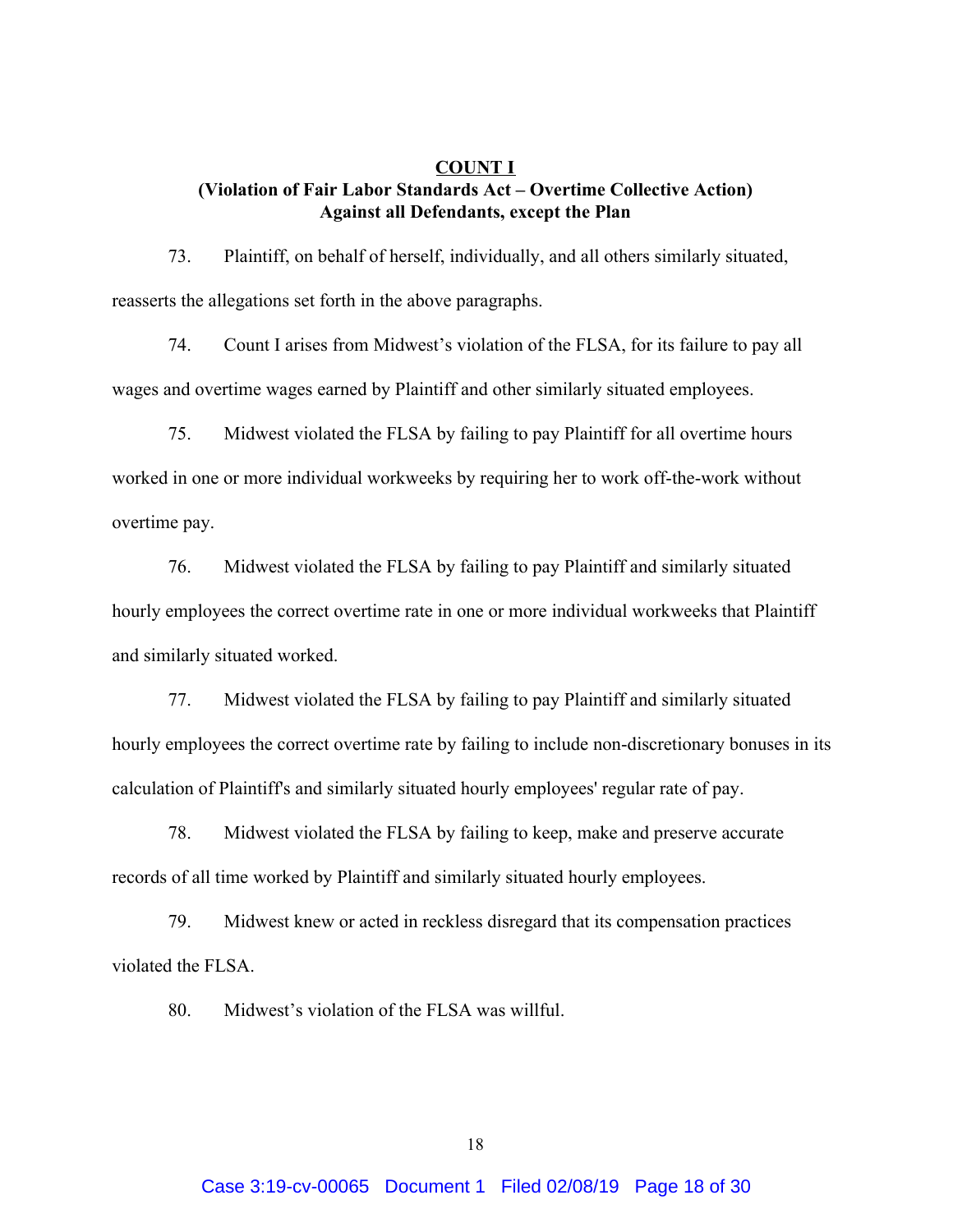## **COUNT I (Violation of Fair Labor Standards Act – Overtime Collective Action) Against all Defendants, except the Plan**

73. Plaintiff, on behalf of herself, individually, and all others similarly situated, reasserts the allegations set forth in the above paragraphs.

74. Count I arises from Midwest's violation of the FLSA, for its failure to pay all wages and overtime wages earned by Plaintiff and other similarly situated employees.

75. Midwest violated the FLSA by failing to pay Plaintiff for all overtime hours worked in one or more individual workweeks by requiring her to work off-the-work without overtime pay.

76. Midwest violated the FLSA by failing to pay Plaintiff and similarly situated hourly employees the correct overtime rate in one or more individual workweeks that Plaintiff and similarly situated worked.

77. Midwest violated the FLSA by failing to pay Plaintiff and similarly situated hourly employees the correct overtime rate by failing to include non-discretionary bonuses in its calculation of Plaintiff's and similarly situated hourly employees' regular rate of pay.

78. Midwest violated the FLSA by failing to keep, make and preserve accurate records of all time worked by Plaintiff and similarly situated hourly employees.

79. Midwest knew or acted in reckless disregard that its compensation practices violated the FLSA.

80. Midwest's violation of the FLSA was willful.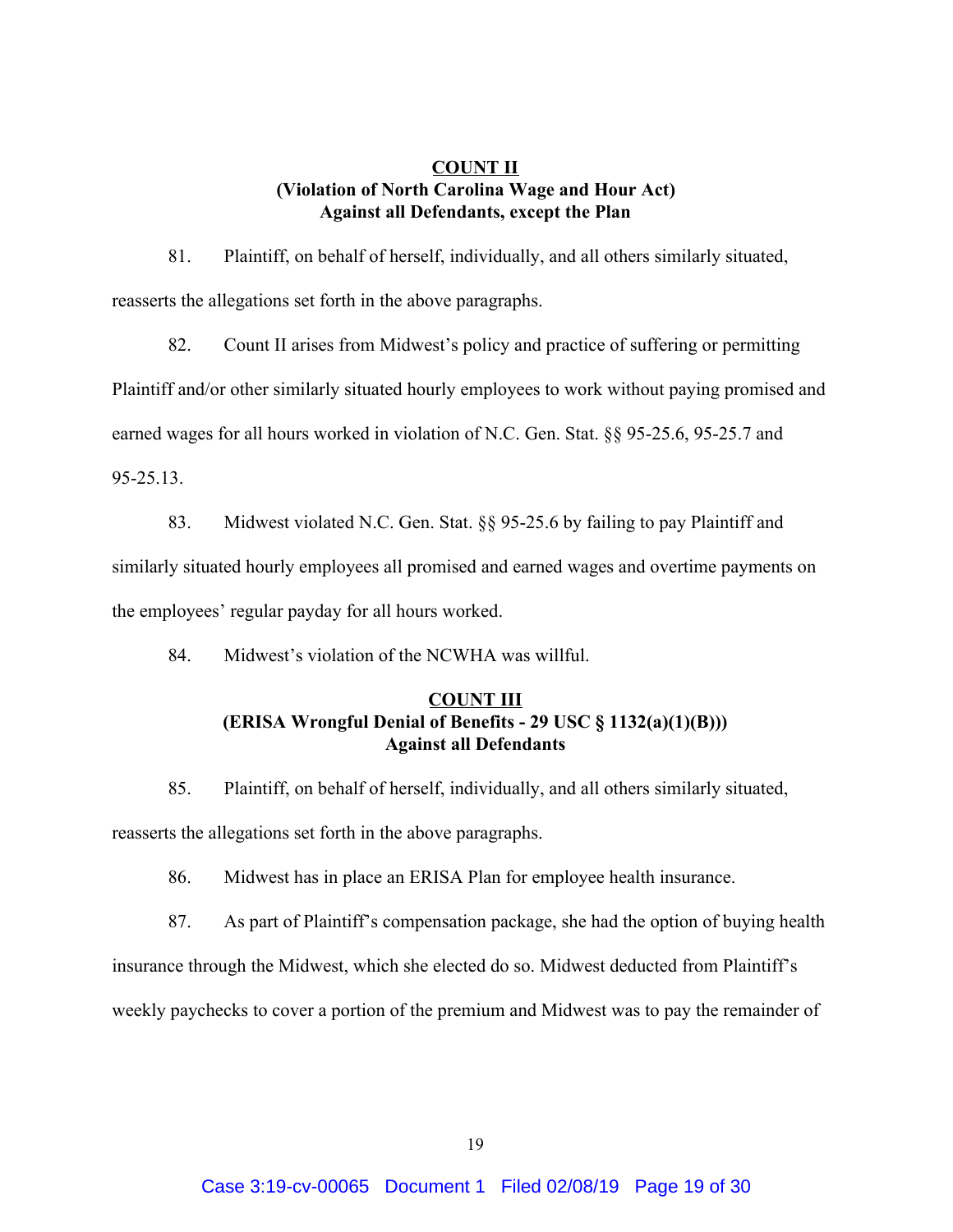## **COUNT II (Violation of North Carolina Wage and Hour Act) Against all Defendants, except the Plan**

81. Plaintiff, on behalf of herself, individually, and all others similarly situated, reasserts the allegations set forth in the above paragraphs.

82. Count II arises from Midwest's policy and practice of suffering or permitting Plaintiff and/or other similarly situated hourly employees to work without paying promised and earned wages for all hours worked in violation of N.C. Gen. Stat. §§ 95-25.6, 95-25.7 and 95-25.13.

83. Midwest violated N.C. Gen. Stat. §§ 95-25.6 by failing to pay Plaintiff and similarly situated hourly employees all promised and earned wages and overtime payments on the employees' regular payday for all hours worked.

84. Midwest's violation of the NCWHA was willful.

## **COUNT III (ERISA Wrongful Denial of Benefits - 29 USC § 1132(a)(1)(B))) Against all Defendants**

85. Plaintiff, on behalf of herself, individually, and all others similarly situated, reasserts the allegations set forth in the above paragraphs.

86. Midwest has in place an ERISA Plan for employee health insurance.

87. As part of Plaintiff's compensation package, she had the option of buying health

insurance through the Midwest, which she elected do so. Midwest deducted from Plaintiff's

weekly paychecks to cover a portion of the premium and Midwest was to pay the remainder of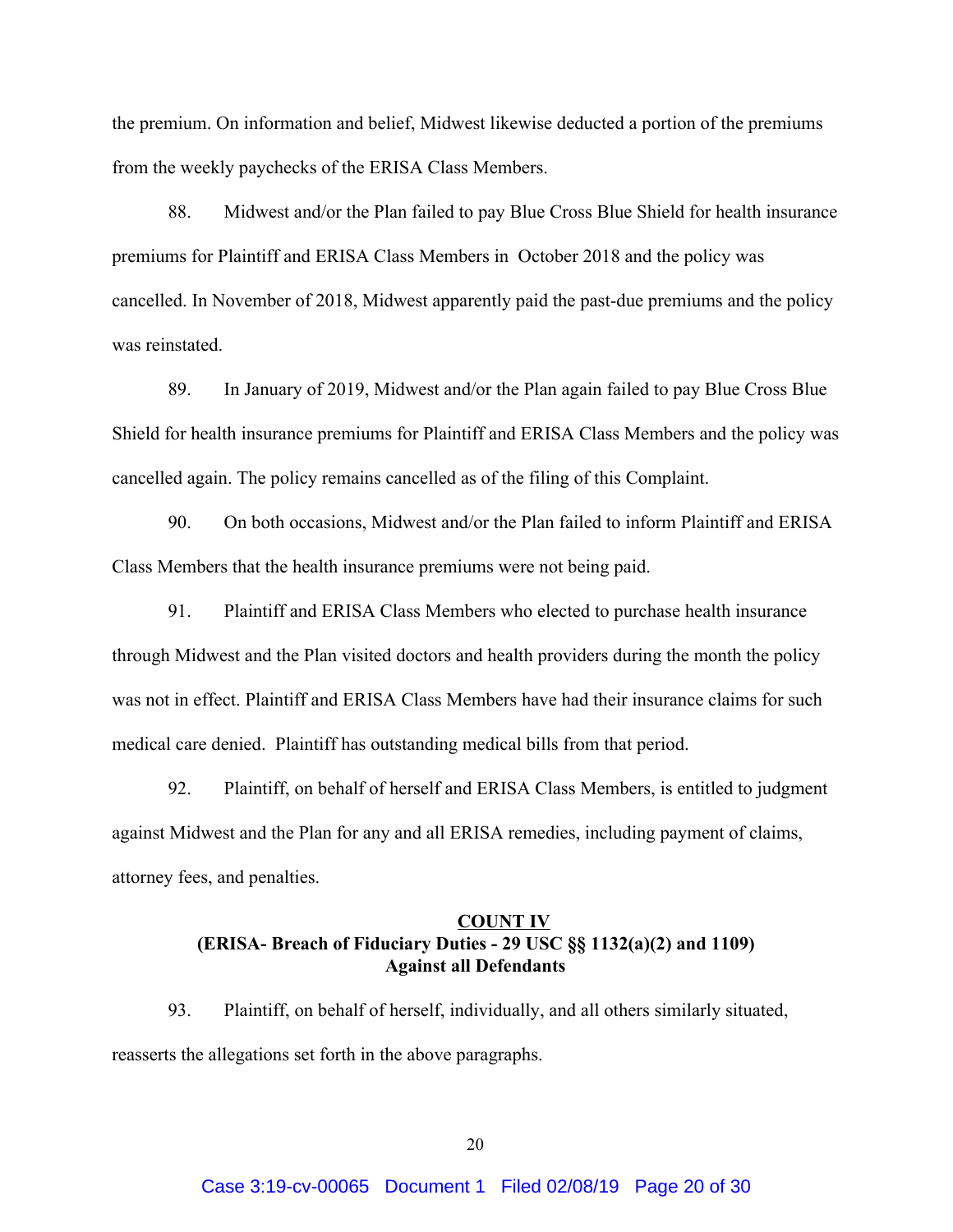the premium. On information and belief, Midwest likewise deducted a portion of the premiums from the weekly paychecks of the ERISA Class Members.

88. Midwest and/or the Plan failed to pay Blue Cross Blue Shield for health insurance premiums for Plaintiff and ERISA Class Members in October 2018 and the policy was cancelled. In November of 2018, Midwest apparently paid the past-due premiums and the policy was reinstated.

89. In January of 2019, Midwest and/or the Plan again failed to pay Blue Cross Blue Shield for health insurance premiums for Plaintiff and ERISA Class Members and the policy was cancelled again. The policy remains cancelled as of the filing of this Complaint.

90. On both occasions, Midwest and/or the Plan failed to inform Plaintiff and ERISA Class Members that the health insurance premiums were not being paid.

91. Plaintiff and ERISA Class Members who elected to purchase health insurance through Midwest and the Plan visited doctors and health providers during the month the policy was not in effect. Plaintiff and ERISA Class Members have had their insurance claims for such medical care denied. Plaintiff has outstanding medical bills from that period.

92. Plaintiff, on behalf of herself and ERISA Class Members, is entitled to judgment against Midwest and the Plan for any and all ERISA remedies, including payment of claims, attorney fees, and penalties.

# **COUNT IV (ERISA- Breach of Fiduciary Duties - 29 USC §§ 1132(a)(2) and 1109) Against all Defendants**

93. Plaintiff, on behalf of herself, individually, and all others similarly situated, reasserts the allegations set forth in the above paragraphs.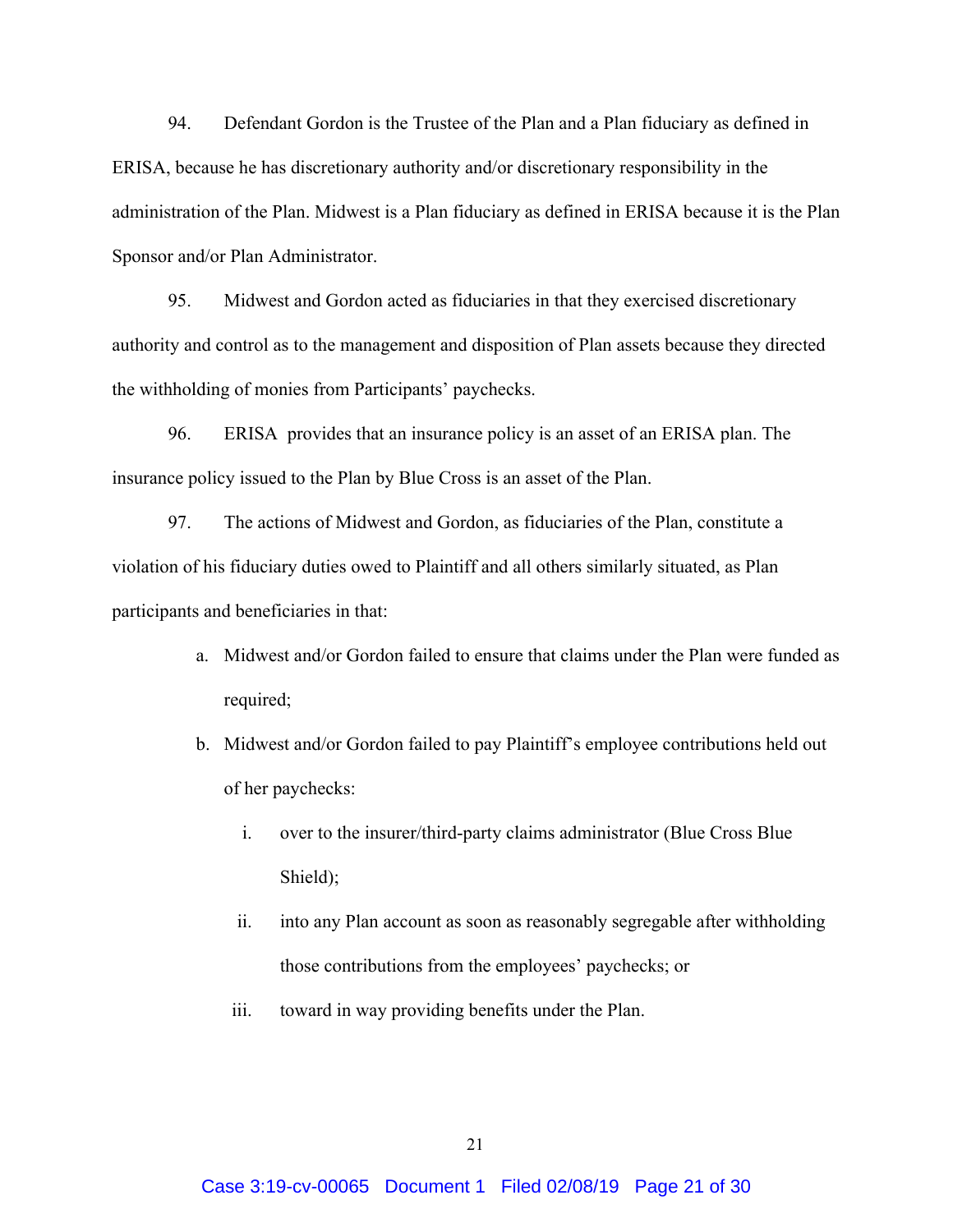94. Defendant Gordon is the Trustee of the Plan and a Plan fiduciary as defined in ERISA, because he has discretionary authority and/or discretionary responsibility in the administration of the Plan. Midwest is a Plan fiduciary as defined in ERISA because it is the Plan Sponsor and/or Plan Administrator.

95. Midwest and Gordon acted as fiduciaries in that they exercised discretionary authority and control as to the management and disposition of Plan assets because they directed the withholding of monies from Participants' paychecks.

96. ERISA provides that an insurance policy is an asset of an ERISA plan. The insurance policy issued to the Plan by Blue Cross is an asset of the Plan.

97. The actions of Midwest and Gordon, as fiduciaries of the Plan, constitute a violation of his fiduciary duties owed to Plaintiff and all others similarly situated, as Plan participants and beneficiaries in that:

- a. Midwest and/or Gordon failed to ensure that claims under the Plan were funded as required;
- b. Midwest and/or Gordon failed to pay Plaintiff's employee contributions held out of her paychecks:
	- i. over to the insurer/third-party claims administrator (Blue Cross Blue Shield);
	- ii. into any Plan account as soon as reasonably segregable after withholding those contributions from the employees' paychecks; or
	- iii. toward in way providing benefits under the Plan.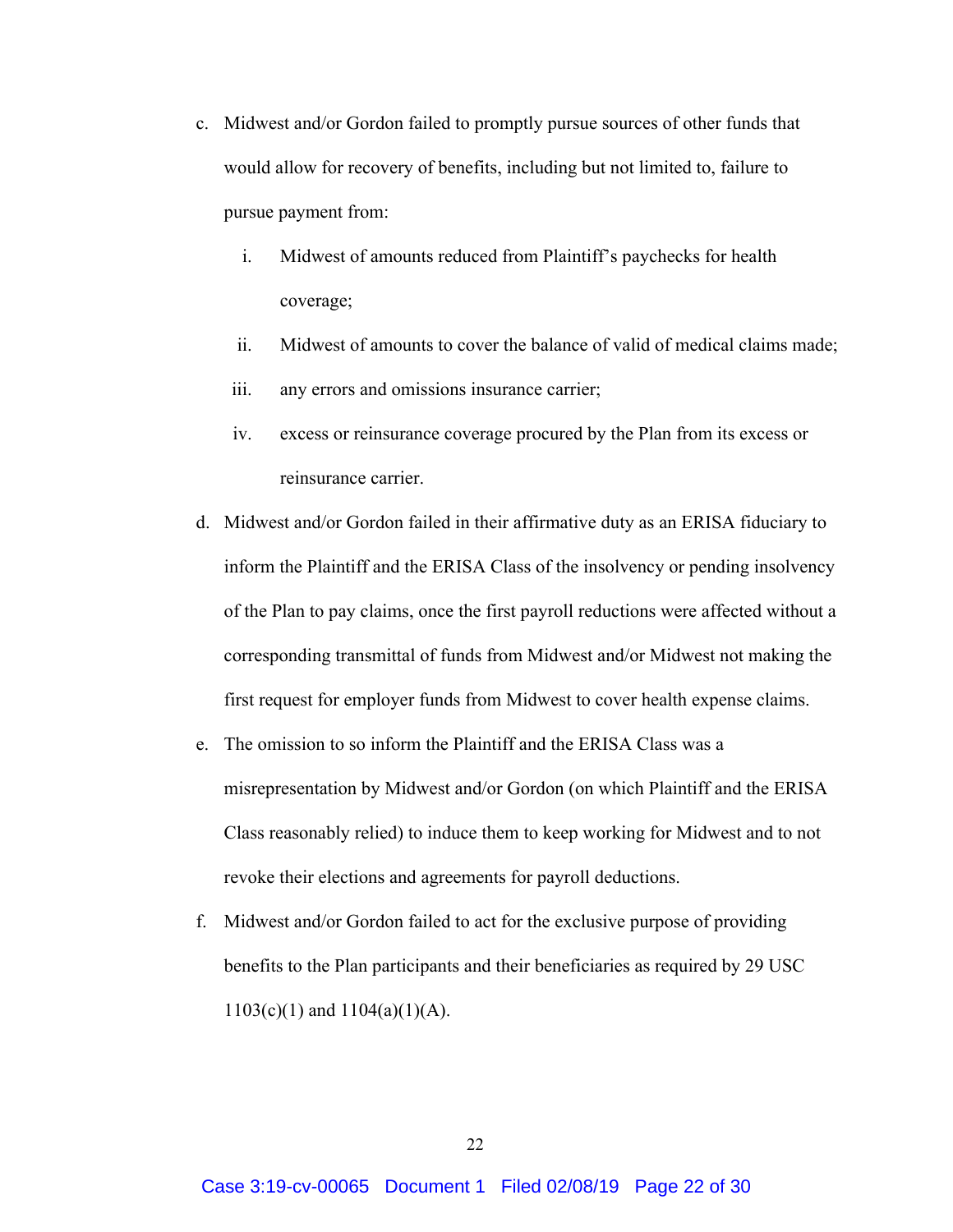- c. Midwest and/or Gordon failed to promptly pursue sources of other funds that would allow for recovery of benefits, including but not limited to, failure to pursue payment from:
	- i. Midwest of amounts reduced from Plaintiff's paychecks for health coverage;
	- ii. Midwest of amounts to cover the balance of valid of medical claims made;
	- iii. any errors and omissions insurance carrier;
	- iv. excess or reinsurance coverage procured by the Plan from its excess or reinsurance carrier.
- d. Midwest and/or Gordon failed in their affirmative duty as an ERISA fiduciary to inform the Plaintiff and the ERISA Class of the insolvency or pending insolvency of the Plan to pay claims, once the first payroll reductions were affected without a corresponding transmittal of funds from Midwest and/or Midwest not making the first request for employer funds from Midwest to cover health expense claims.
- e. The omission to so inform the Plaintiff and the ERISA Class was a misrepresentation by Midwest and/or Gordon (on which Plaintiff and the ERISA Class reasonably relied) to induce them to keep working for Midwest and to not revoke their elections and agreements for payroll deductions.
- f. Midwest and/or Gordon failed to act for the exclusive purpose of providing benefits to the Plan participants and their beneficiaries as required by 29 USC 1103(c)(1) and 1104(a)(1)(A).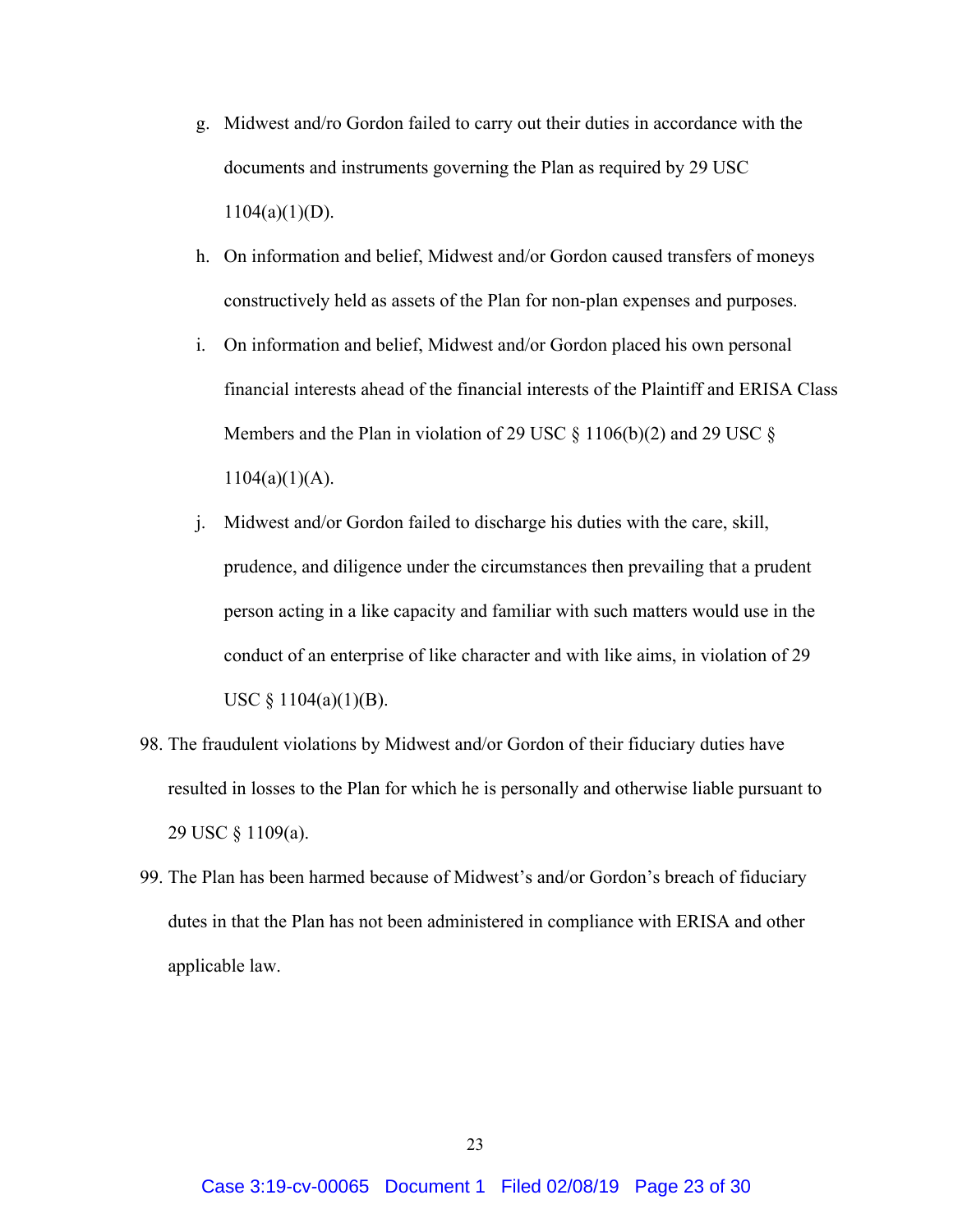- g. Midwest and/ro Gordon failed to carry out their duties in accordance with the documents and instruments governing the Plan as required by 29 USC  $1104(a)(1)(D)$ .
- h. On information and belief, Midwest and/or Gordon caused transfers of moneys constructively held as assets of the Plan for non-plan expenses and purposes.
- i. On information and belief, Midwest and/or Gordon placed his own personal financial interests ahead of the financial interests of the Plaintiff and ERISA Class Members and the Plan in violation of 29 USC  $\S$  1106(b)(2) and 29 USC  $\S$  $1104(a)(1)(A)$ .
- j. Midwest and/or Gordon failed to discharge his duties with the care, skill, prudence, and diligence under the circumstances then prevailing that a prudent person acting in a like capacity and familiar with such matters would use in the conduct of an enterprise of like character and with like aims, in violation of 29 USC  $\S$  1104(a)(1)(B).
- 98. The fraudulent violations by Midwest and/or Gordon of their fiduciary duties have resulted in losses to the Plan for which he is personally and otherwise liable pursuant to 29 USC § 1109(a).
- 99. The Plan has been harmed because of Midwest's and/or Gordon's breach of fiduciary dutes in that the Plan has not been administered in compliance with ERISA and other applicable law.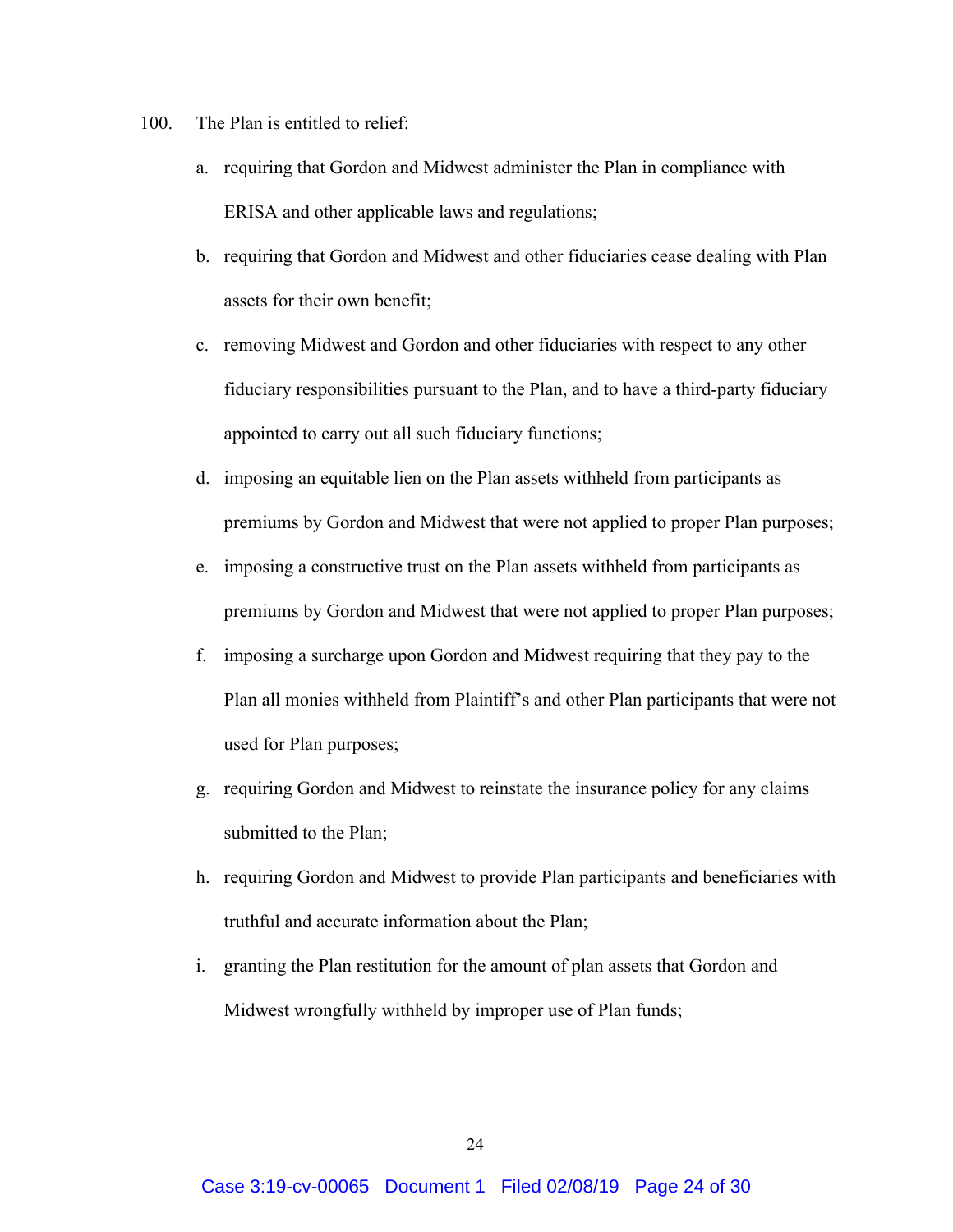- 100. The Plan is entitled to relief:
	- a. requiring that Gordon and Midwest administer the Plan in compliance with ERISA and other applicable laws and regulations;
	- b. requiring that Gordon and Midwest and other fiduciaries cease dealing with Plan assets for their own benefit;
	- c. removing Midwest and Gordon and other fiduciaries with respect to any other fiduciary responsibilities pursuant to the Plan, and to have a third-party fiduciary appointed to carry out all such fiduciary functions;
	- d. imposing an equitable lien on the Plan assets withheld from participants as premiums by Gordon and Midwest that were not applied to proper Plan purposes;
	- e. imposing a constructive trust on the Plan assets withheld from participants as premiums by Gordon and Midwest that were not applied to proper Plan purposes;
	- f. imposing a surcharge upon Gordon and Midwest requiring that they pay to the Plan all monies withheld from Plaintiff's and other Plan participants that were not used for Plan purposes;
	- g. requiring Gordon and Midwest to reinstate the insurance policy for any claims submitted to the Plan;
	- h. requiring Gordon and Midwest to provide Plan participants and beneficiaries with truthful and accurate information about the Plan;
	- i. granting the Plan restitution for the amount of plan assets that Gordon and Midwest wrongfully withheld by improper use of Plan funds;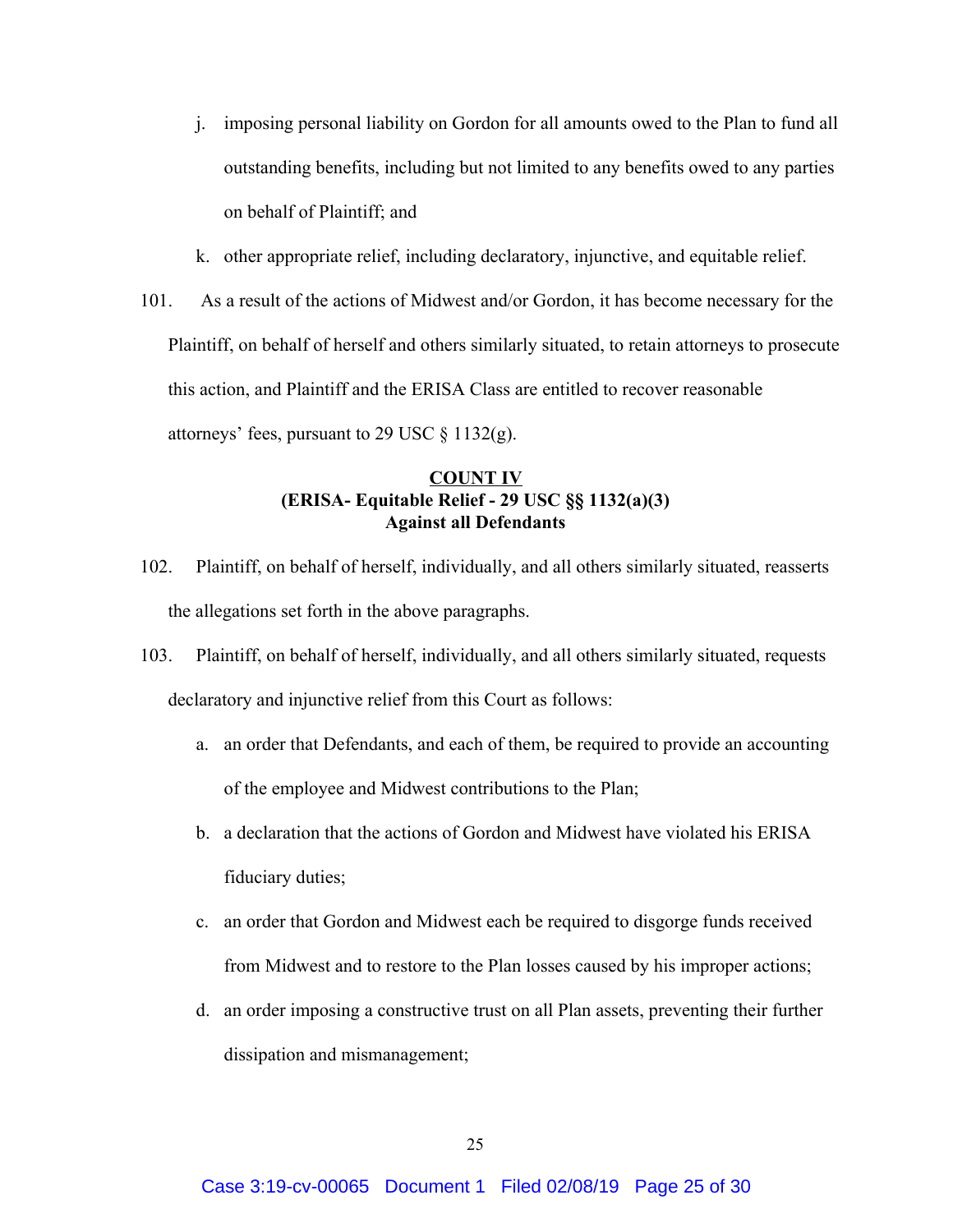- j. imposing personal liability on Gordon for all amounts owed to the Plan to fund all outstanding benefits, including but not limited to any benefits owed to any parties on behalf of Plaintiff; and
- k. other appropriate relief, including declaratory, injunctive, and equitable relief.
- 101. As a result of the actions of Midwest and/or Gordon, it has become necessary for the Plaintiff, on behalf of herself and others similarly situated, to retain attorneys to prosecute this action, and Plaintiff and the ERISA Class are entitled to recover reasonable attorneys' fees, pursuant to 29 USC  $\S$  1132(g).

## **COUNT IV (ERISA- Equitable Relief - 29 USC §§ 1132(a)(3) Against all Defendants**

- 102. Plaintiff, on behalf of herself, individually, and all others similarly situated, reasserts the allegations set forth in the above paragraphs.
- 103. Plaintiff, on behalf of herself, individually, and all others similarly situated, requests declaratory and injunctive relief from this Court as follows:
	- a. an order that Defendants, and each of them, be required to provide an accounting of the employee and Midwest contributions to the Plan;
	- b. a declaration that the actions of Gordon and Midwest have violated his ERISA fiduciary duties;
	- c. an order that Gordon and Midwest each be required to disgorge funds received from Midwest and to restore to the Plan losses caused by his improper actions;
	- d. an order imposing a constructive trust on all Plan assets, preventing their further dissipation and mismanagement;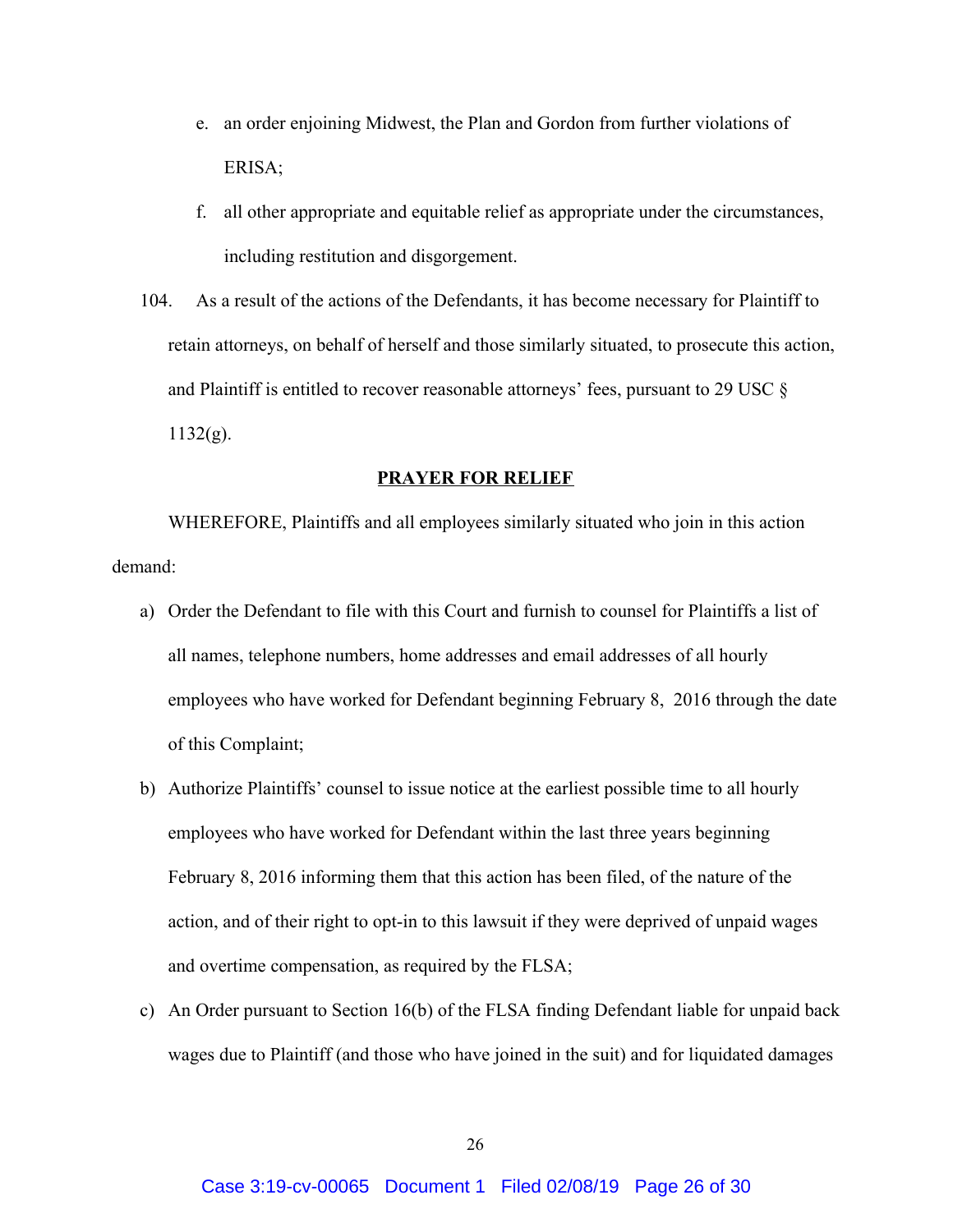- e. an order enjoining Midwest, the Plan and Gordon from further violations of ERISA;
- f. all other appropriate and equitable relief as appropriate under the circumstances, including restitution and disgorgement.
- 104. As a result of the actions of the Defendants, it has become necessary for Plaintiff to retain attorneys, on behalf of herself and those similarly situated, to prosecute this action, and Plaintiff is entitled to recover reasonable attorneys' fees, pursuant to 29 USC §  $1132(g)$ .

### **PRAYER FOR RELIEF**

WHEREFORE, Plaintiffs and all employees similarly situated who join in this action demand:

- a) Order the Defendant to file with this Court and furnish to counsel for Plaintiffs a list of all names, telephone numbers, home addresses and email addresses of all hourly employees who have worked for Defendant beginning February 8, 2016 through the date of this Complaint;
- b) Authorize Plaintiffs' counsel to issue notice at the earliest possible time to all hourly employees who have worked for Defendant within the last three years beginning February 8, 2016 informing them that this action has been filed, of the nature of the action, and of their right to opt-in to this lawsuit if they were deprived of unpaid wages and overtime compensation, as required by the FLSA;
- c) An Order pursuant to Section 16(b) of the FLSA finding Defendant liable for unpaid back wages due to Plaintiff (and those who have joined in the suit) and for liquidated damages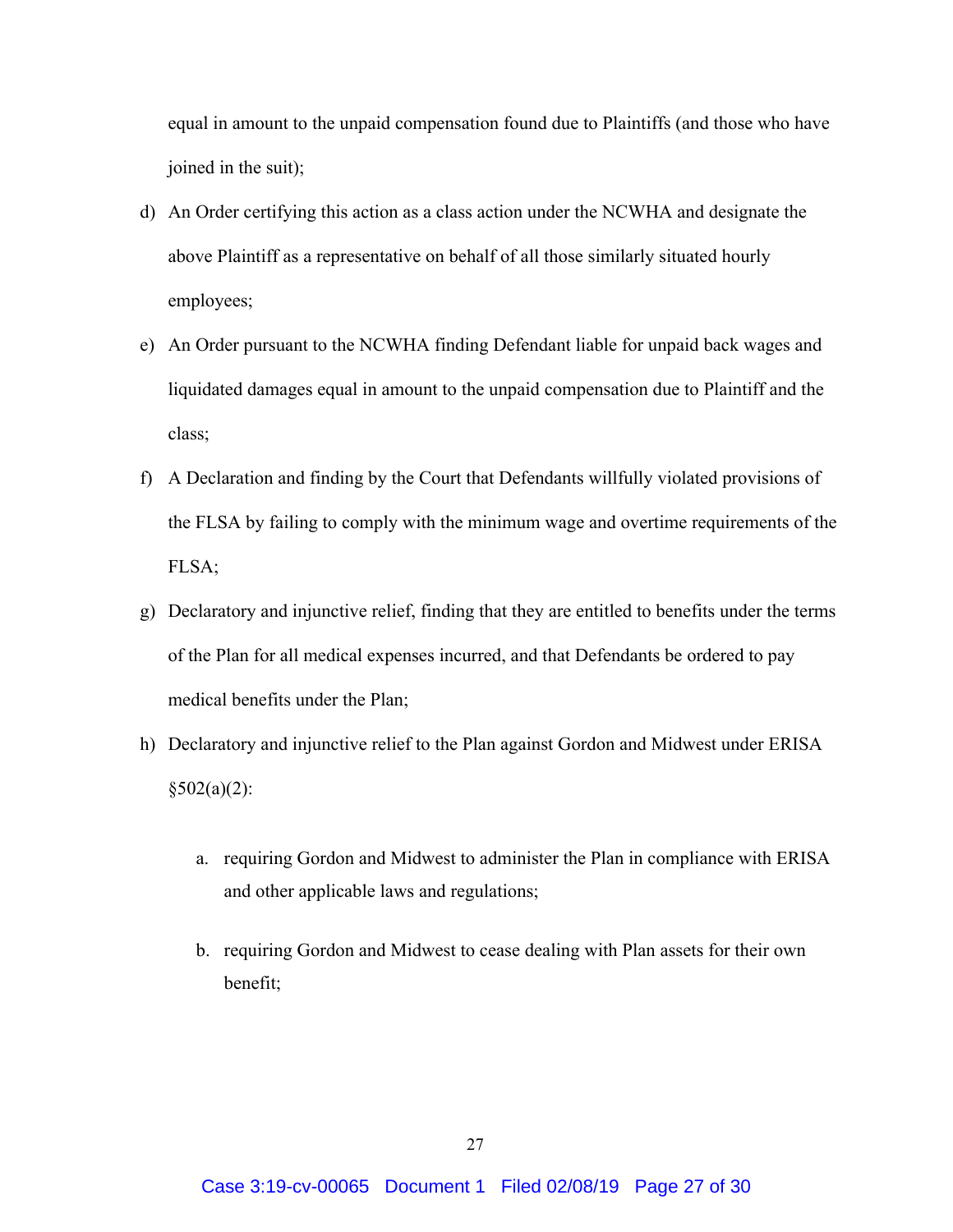equal in amount to the unpaid compensation found due to Plaintiffs (and those who have joined in the suit);

- d) An Order certifying this action as a class action under the NCWHA and designate the above Plaintiff as a representative on behalf of all those similarly situated hourly employees;
- e) An Order pursuant to the NCWHA finding Defendant liable for unpaid back wages and liquidated damages equal in amount to the unpaid compensation due to Plaintiff and the class;
- f) A Declaration and finding by the Court that Defendants willfully violated provisions of the FLSA by failing to comply with the minimum wage and overtime requirements of the FLSA;
- g) Declaratory and injunctive relief, finding that they are entitled to benefits under the terms of the Plan for all medical expenses incurred, and that Defendants be ordered to pay medical benefits under the Plan;
- h) Declaratory and injunctive relief to the Plan against Gordon and Midwest under ERISA  $§502(a)(2):$ 
	- a. requiring Gordon and Midwest to administer the Plan in compliance with ERISA and other applicable laws and regulations;
	- b. requiring Gordon and Midwest to cease dealing with Plan assets for their own benefit;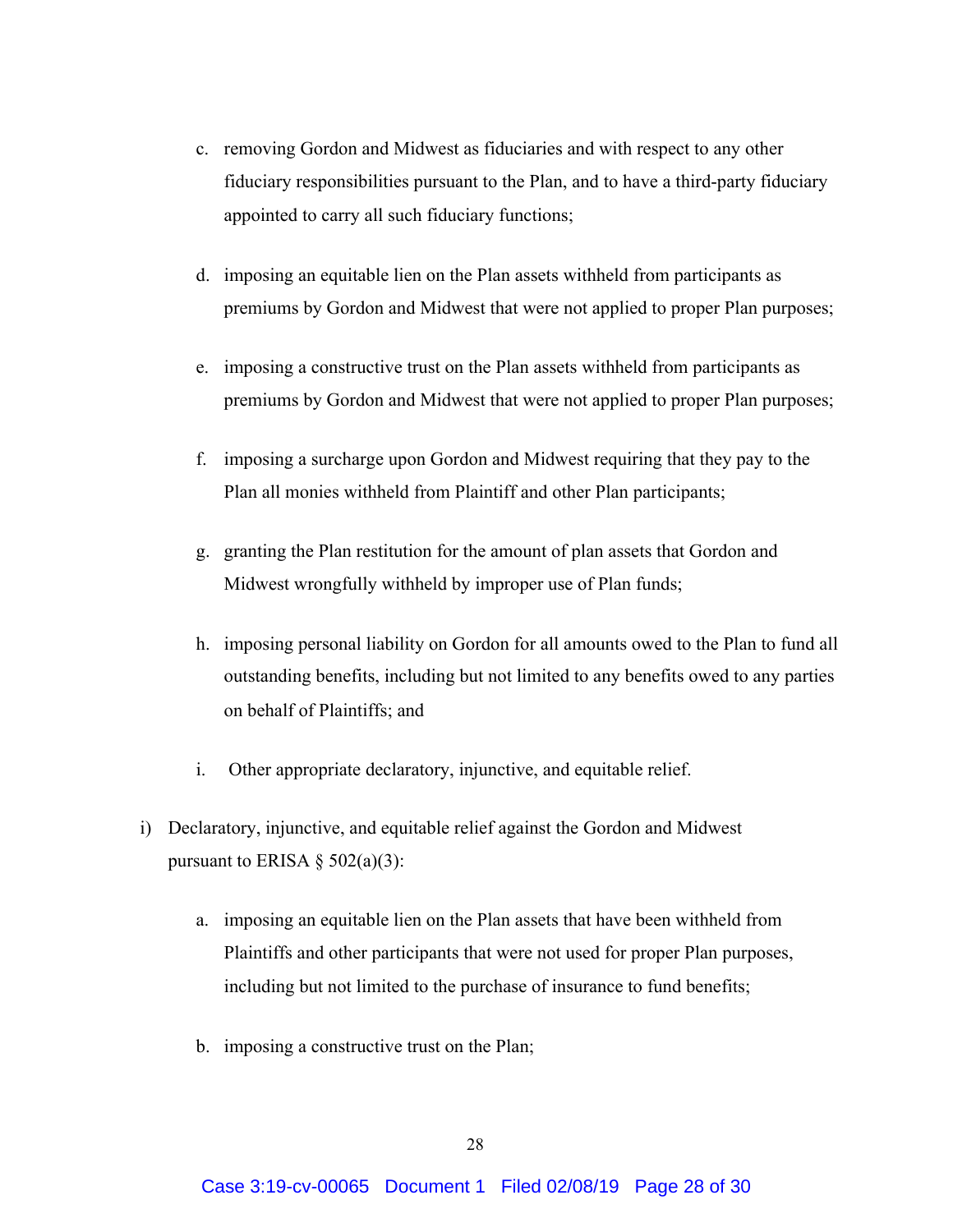- c. removing Gordon and Midwest as fiduciaries and with respect to any other fiduciary responsibilities pursuant to the Plan, and to have a third-party fiduciary appointed to carry all such fiduciary functions;
- d. imposing an equitable lien on the Plan assets withheld from participants as premiums by Gordon and Midwest that were not applied to proper Plan purposes;
- e. imposing a constructive trust on the Plan assets withheld from participants as premiums by Gordon and Midwest that were not applied to proper Plan purposes;
- f. imposing a surcharge upon Gordon and Midwest requiring that they pay to the Plan all monies withheld from Plaintiff and other Plan participants;
- g. granting the Plan restitution for the amount of plan assets that Gordon and Midwest wrongfully withheld by improper use of Plan funds;
- h. imposing personal liability on Gordon for all amounts owed to the Plan to fund all outstanding benefits, including but not limited to any benefits owed to any parties on behalf of Plaintiffs; and
- i. Other appropriate declaratory, injunctive, and equitable relief.
- i) Declaratory, injunctive, and equitable relief against the Gordon and Midwest pursuant to ERISA  $\S$  502(a)(3):
	- a. imposing an equitable lien on the Plan assets that have been withheld from Plaintiffs and other participants that were not used for proper Plan purposes, including but not limited to the purchase of insurance to fund benefits;
	- b. imposing a constructive trust on the Plan;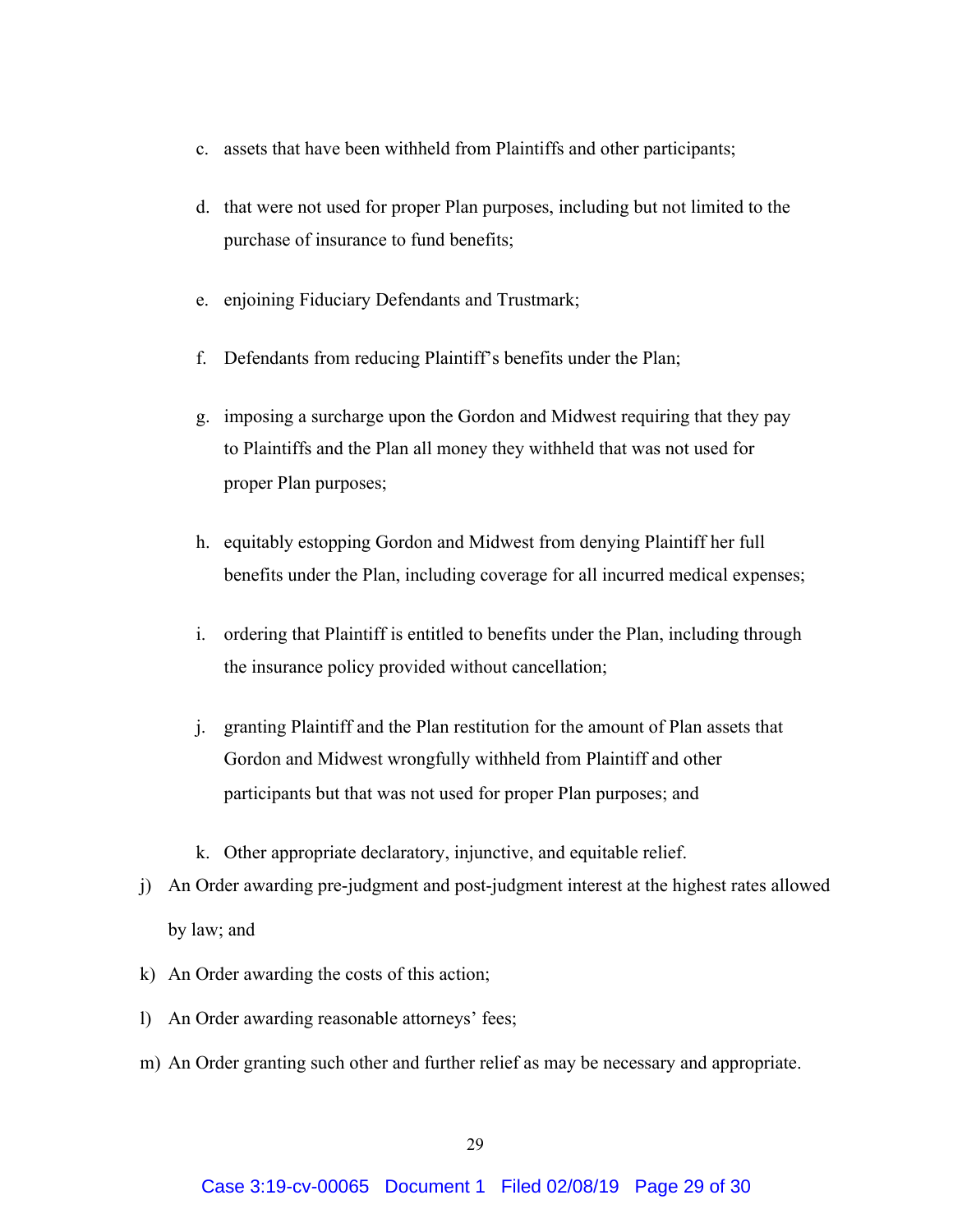- c. assets that have been withheld from Plaintiffs and other participants;
- d. that were not used for proper Plan purposes, including but not limited to the purchase of insurance to fund benefits;
- e. enjoining Fiduciary Defendants and Trustmark;
- f. Defendants from reducing Plaintiff's benefits under the Plan;
- g. imposing a surcharge upon the Gordon and Midwest requiring that they pay to Plaintiffs and the Plan all money they withheld that was not used for proper Plan purposes;
- h. equitably estopping Gordon and Midwest from denying Plaintiff her full benefits under the Plan, including coverage for all incurred medical expenses;
- i. ordering that Plaintiff is entitled to benefits under the Plan, including through the insurance policy provided without cancellation;
- j. granting Plaintiff and the Plan restitution for the amount of Plan assets that Gordon and Midwest wrongfully withheld from Plaintiff and other participants but that was not used for proper Plan purposes; and
- k. Other appropriate declaratory, injunctive, and equitable relief.
- j) An Order awarding pre-judgment and post-judgment interest at the highest rates allowed by law; and
- k) An Order awarding the costs of this action;
- l) An Order awarding reasonable attorneys' fees;
- m) An Order granting such other and further relief as may be necessary and appropriate.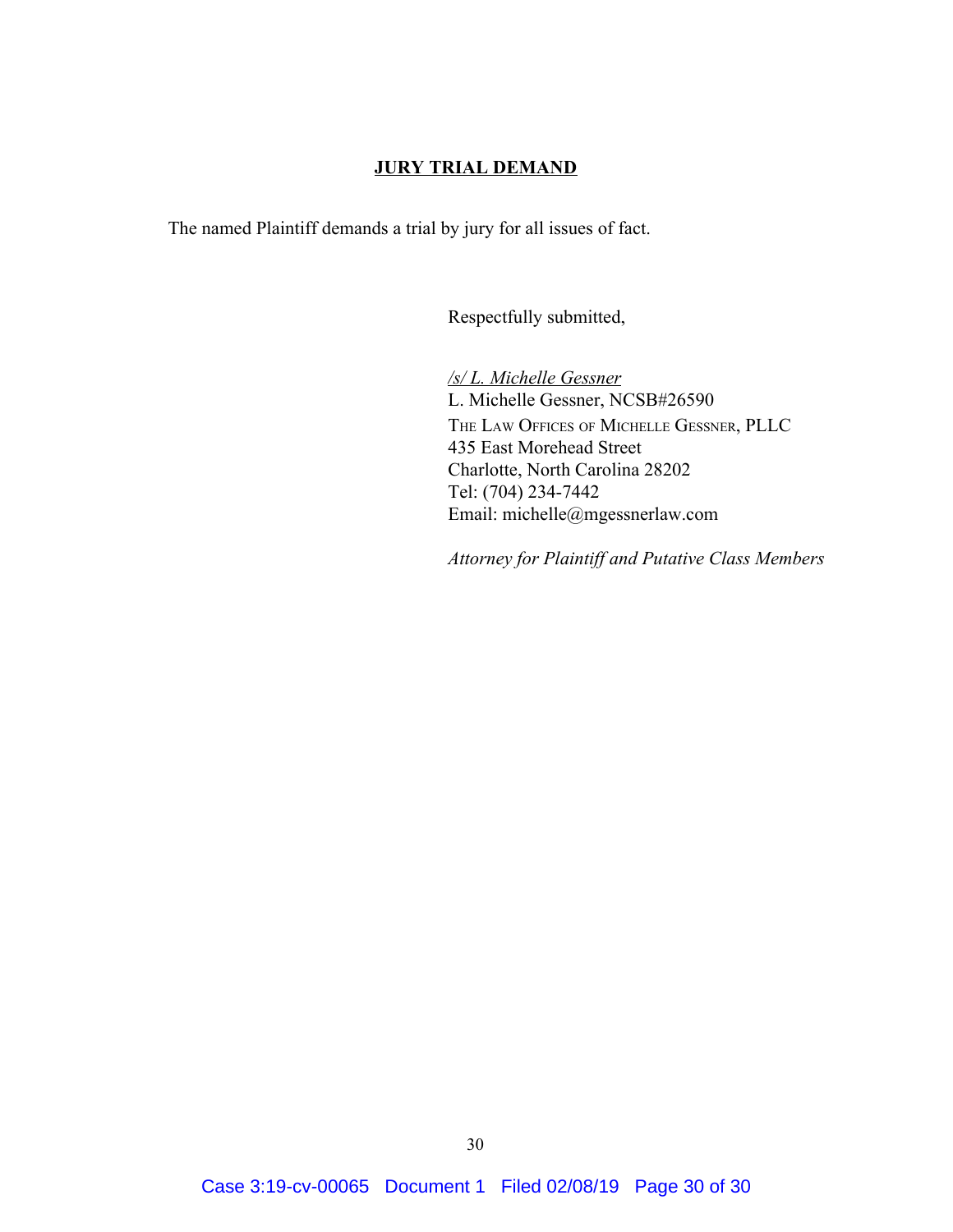## **JURY TRIAL DEMAND**

The named Plaintiff demands a trial by jury for all issues of fact.

Respectfully submitted,

*/s/ L. Michelle Gessner* L. Michelle Gessner, NCSB#26590 THE LAW OFFICES OF MICHELLE GESSNER, PLLC 435 East Morehead Street Charlotte, North Carolina 28202 Tel: (704) 234-7442 Email: michelle@mgessnerlaw.com

*Attorney for Plaintiff and Putative Class Members*